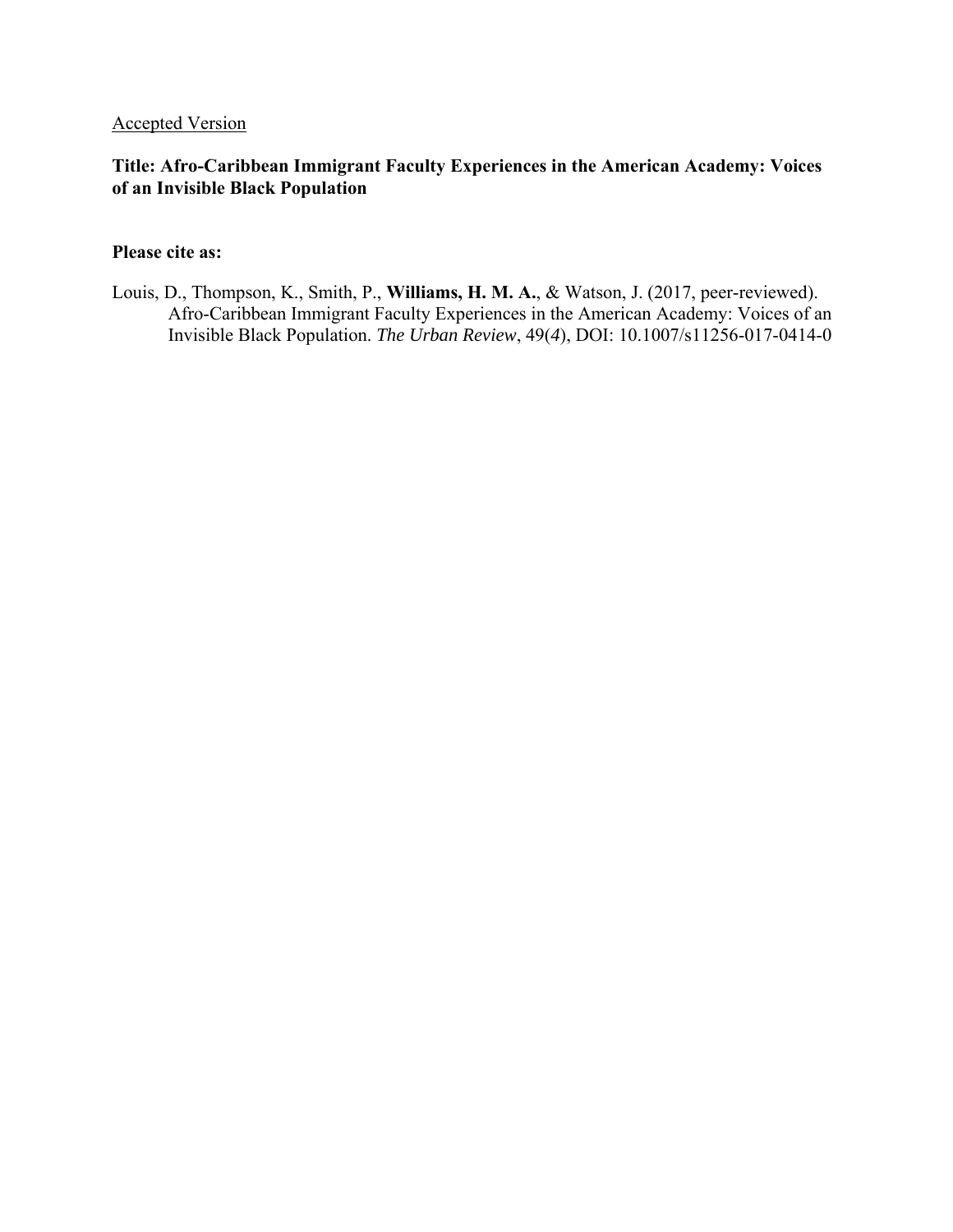# Accepted Version

# **Title: Afro-Caribbean Immigrant Faculty Experiences in the American Academy: Voices of an Invisible Black Population**

## **Please cite as:**

Louis, D., Thompson, K., Smith, P., **Williams, H. M. A.**, & Watson, J. (2017, peer-reviewed). Afro-Caribbean Immigrant Faculty Experiences in the American Academy: Voices of an Invisible Black Population. *The Urban Review*, 49(*4*), DOI: 10.1007/s11256-017-0414-0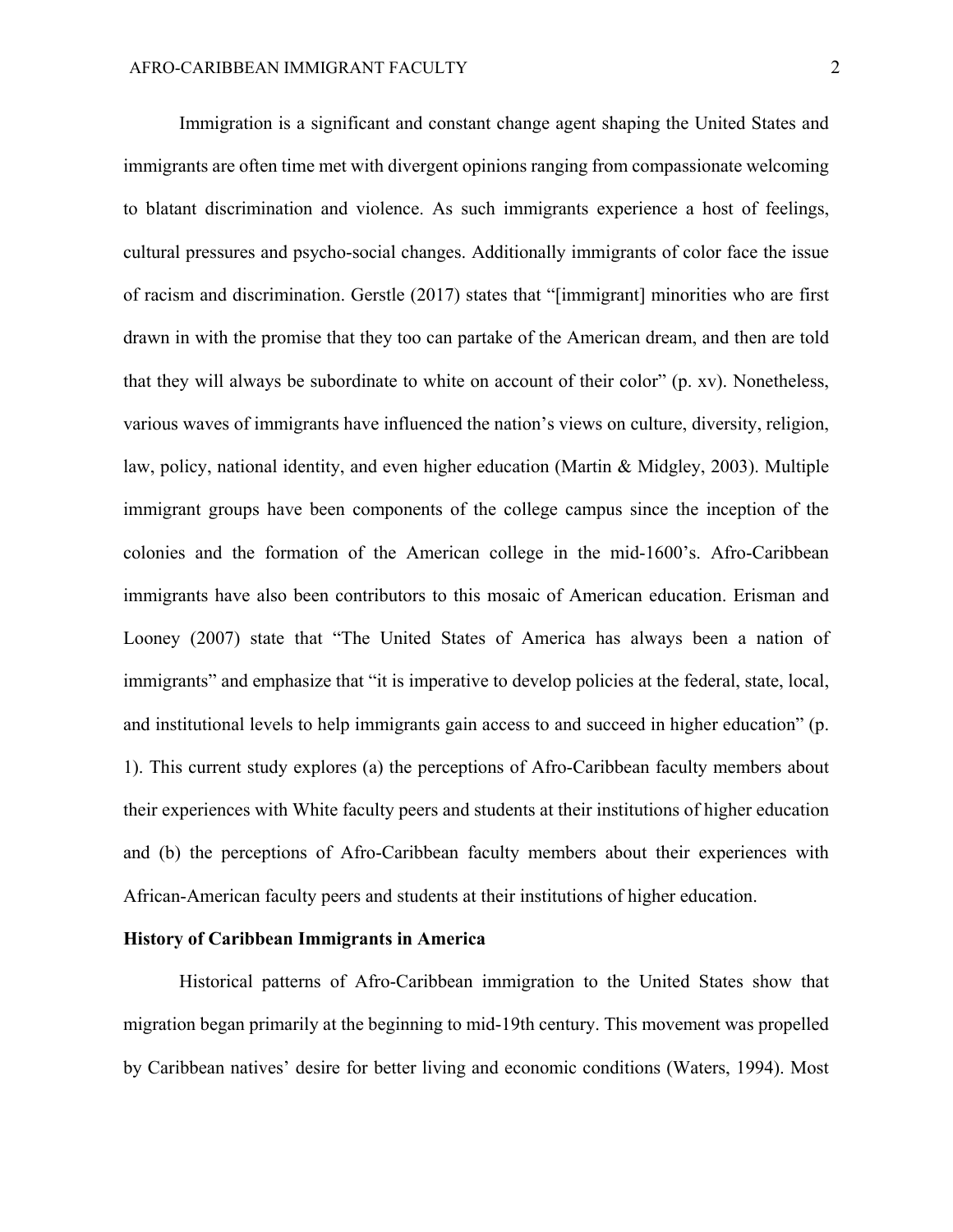Immigration is a significant and constant change agent shaping the United States and immigrants are often time met with divergent opinions ranging from compassionate welcoming to blatant discrimination and violence. As such immigrants experience a host of feelings, cultural pressures and psycho-social changes. Additionally immigrants of color face the issue of racism and discrimination. Gerstle (2017) states that "[immigrant] minorities who are first drawn in with the promise that they too can partake of the American dream, and then are told that they will always be subordinate to white on account of their color" (p. xv). Nonetheless, various waves of immigrants have influenced the nation's views on culture, diversity, religion, law, policy, national identity, and even higher education (Martin & Midgley, 2003). Multiple immigrant groups have been components of the college campus since the inception of the colonies and the formation of the American college in the mid-1600's. Afro-Caribbean immigrants have also been contributors to this mosaic of American education. Erisman and Looney (2007) state that "The United States of America has always been a nation of immigrants" and emphasize that "it is imperative to develop policies at the federal, state, local, and institutional levels to help immigrants gain access to and succeed in higher education" (p. 1). This current study explores (a) the perceptions of Afro-Caribbean faculty members about their experiences with White faculty peers and students at their institutions of higher education and (b) the perceptions of Afro-Caribbean faculty members about their experiences with African-American faculty peers and students at their institutions of higher education.

#### **History of Caribbean Immigrants in America**

Historical patterns of Afro-Caribbean immigration to the United States show that migration began primarily at the beginning to mid-19th century. This movement was propelled by Caribbean natives' desire for better living and economic conditions (Waters, 1994). Most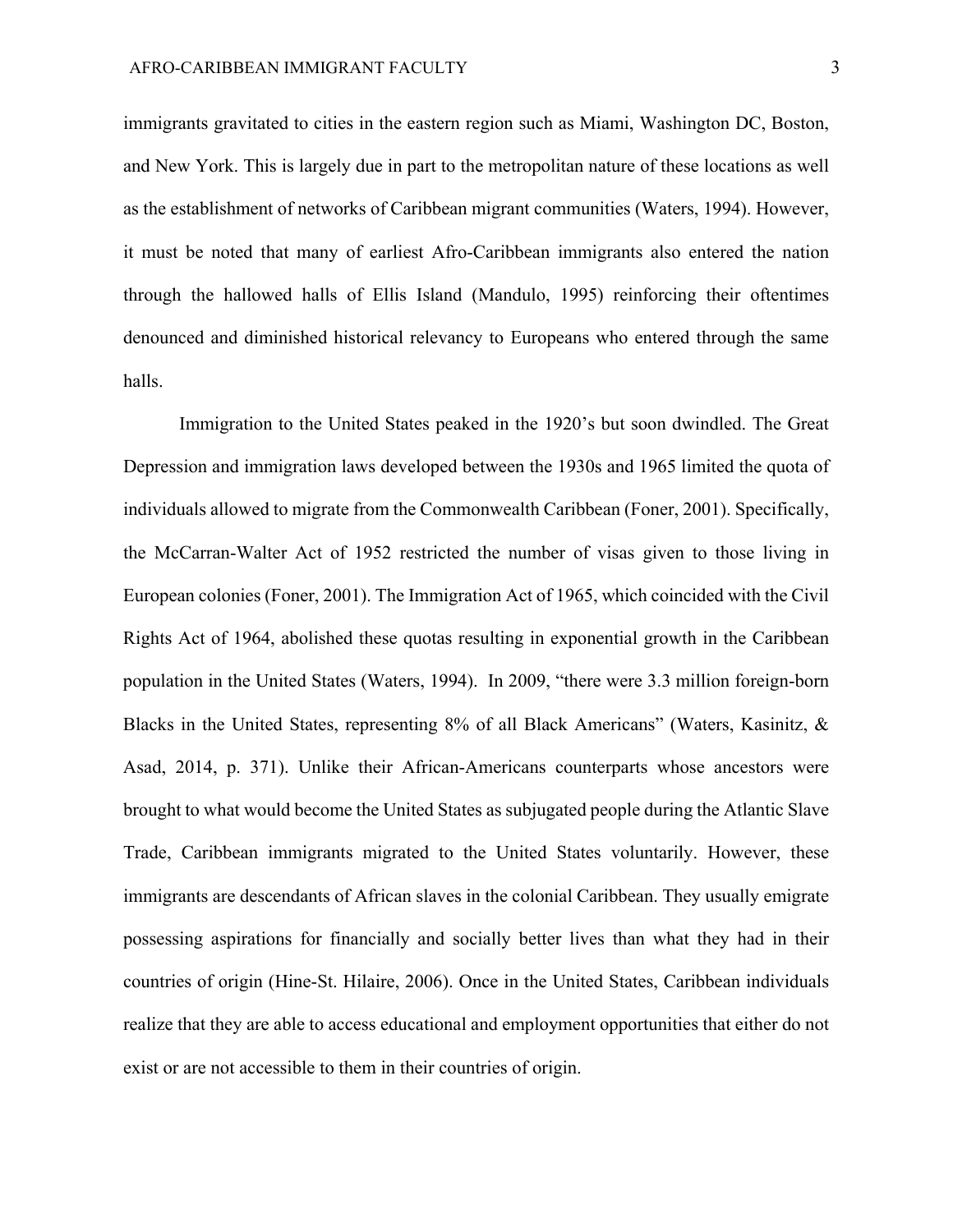immigrants gravitated to cities in the eastern region such as Miami, Washington DC, Boston, and New York. This is largely due in part to the metropolitan nature of these locations as well as the establishment of networks of Caribbean migrant communities (Waters, 1994). However, it must be noted that many of earliest Afro-Caribbean immigrants also entered the nation through the hallowed halls of Ellis Island (Mandulo, 1995) reinforcing their oftentimes denounced and diminished historical relevancy to Europeans who entered through the same halls.

Immigration to the United States peaked in the 1920's but soon dwindled. The Great Depression and immigration laws developed between the 1930s and 1965 limited the quota of individuals allowed to migrate from the Commonwealth Caribbean (Foner, 2001). Specifically, the McCarran-Walter Act of 1952 restricted the number of visas given to those living in European colonies (Foner, 2001). The Immigration Act of 1965, which coincided with the Civil Rights Act of 1964, abolished these quotas resulting in exponential growth in the Caribbean population in the United States (Waters, 1994). In 2009, "there were 3.3 million foreign-born Blacks in the United States, representing 8% of all Black Americans" (Waters, Kasinitz, & Asad, 2014, p. 371). Unlike their African-Americans counterparts whose ancestors were brought to what would become the United States as subjugated people during the Atlantic Slave Trade, Caribbean immigrants migrated to the United States voluntarily. However, these immigrants are descendants of African slaves in the colonial Caribbean. They usually emigrate possessing aspirations for financially and socially better lives than what they had in their countries of origin (Hine-St. Hilaire, 2006). Once in the United States, Caribbean individuals realize that they are able to access educational and employment opportunities that either do not exist or are not accessible to them in their countries of origin.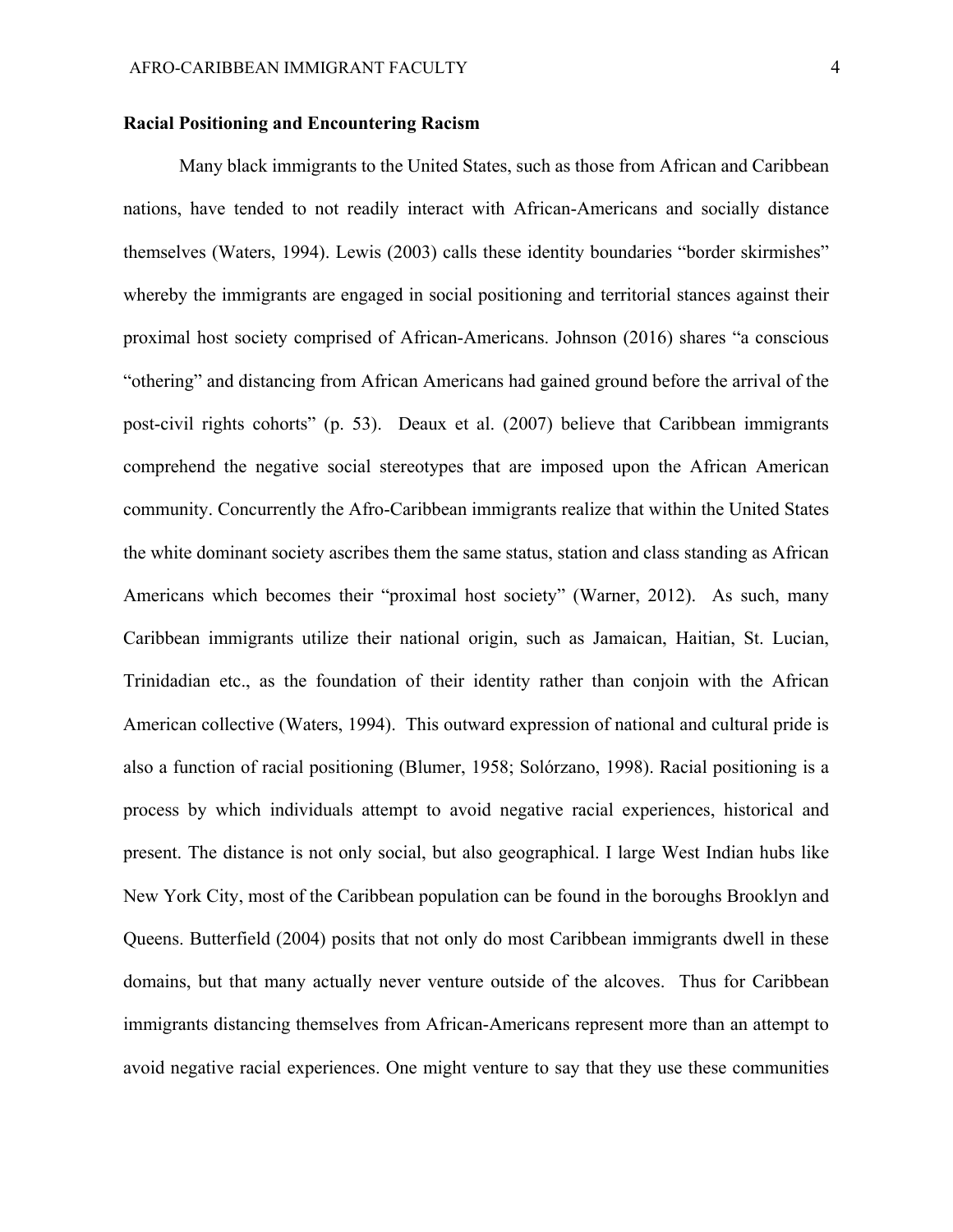### **Racial Positioning and Encountering Racism**

Many black immigrants to the United States, such as those from African and Caribbean nations, have tended to not readily interact with African-Americans and socially distance themselves (Waters, 1994). Lewis (2003) calls these identity boundaries "border skirmishes" whereby the immigrants are engaged in social positioning and territorial stances against their proximal host society comprised of African-Americans. Johnson (2016) shares "a conscious "othering" and distancing from African Americans had gained ground before the arrival of the post-civil rights cohorts" (p. 53). Deaux et al. (2007) believe that Caribbean immigrants comprehend the negative social stereotypes that are imposed upon the African American community. Concurrently the Afro-Caribbean immigrants realize that within the United States the white dominant society ascribes them the same status, station and class standing as African Americans which becomes their "proximal host society" (Warner, 2012). As such, many Caribbean immigrants utilize their national origin, such as Jamaican, Haitian, St. Lucian, Trinidadian etc., as the foundation of their identity rather than conjoin with the African American collective (Waters, 1994). This outward expression of national and cultural pride is also a function of racial positioning (Blumer, 1958; Solórzano, 1998). Racial positioning is a process by which individuals attempt to avoid negative racial experiences, historical and present. The distance is not only social, but also geographical. I large West Indian hubs like New York City, most of the Caribbean population can be found in the boroughs Brooklyn and Queens. Butterfield (2004) posits that not only do most Caribbean immigrants dwell in these domains, but that many actually never venture outside of the alcoves. Thus for Caribbean immigrants distancing themselves from African-Americans represent more than an attempt to avoid negative racial experiences. One might venture to say that they use these communities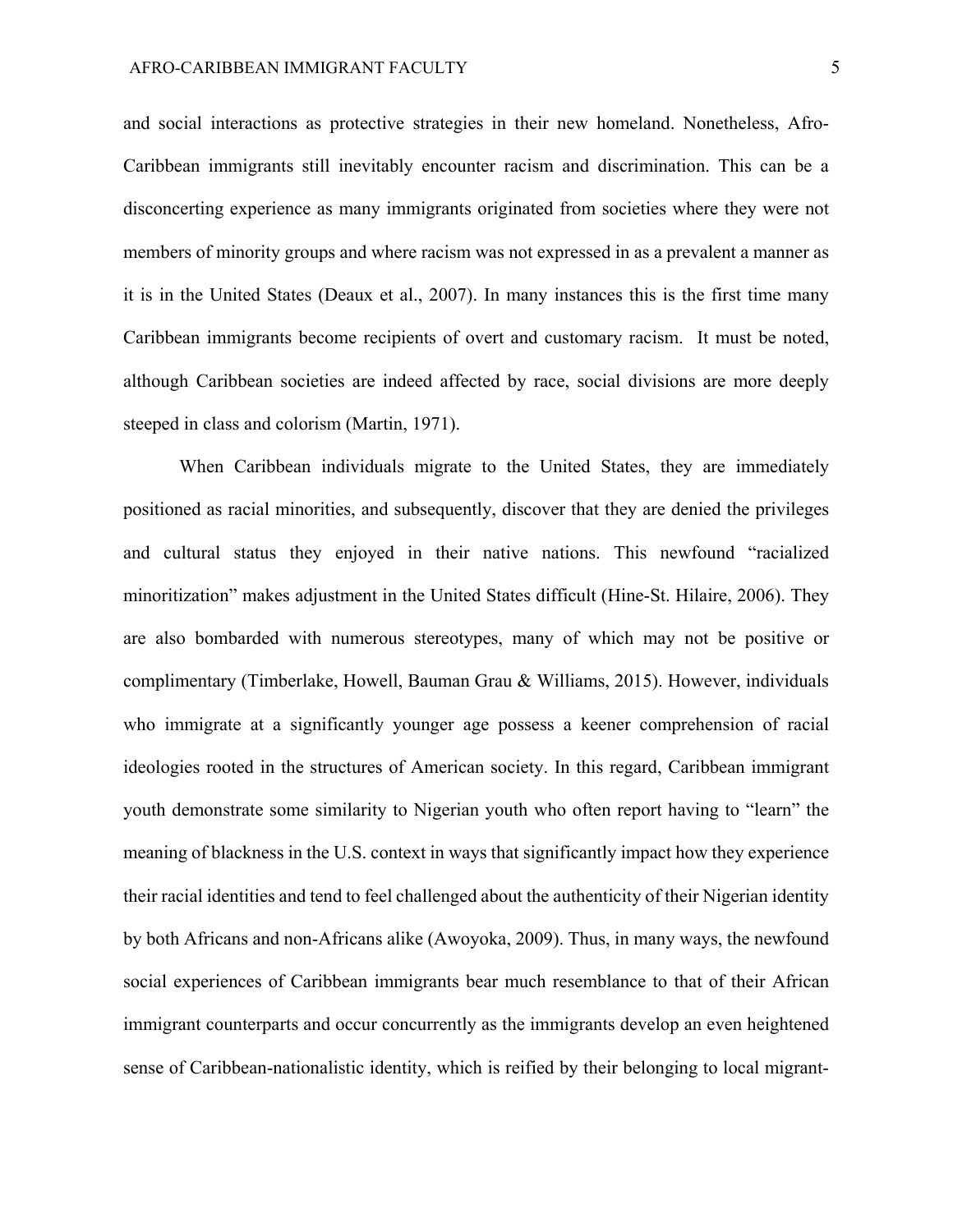and social interactions as protective strategies in their new homeland. Nonetheless, Afro-Caribbean immigrants still inevitably encounter racism and discrimination. This can be a disconcerting experience as many immigrants originated from societies where they were not members of minority groups and where racism was not expressed in as a prevalent a manner as it is in the United States (Deaux et al., 2007). In many instances this is the first time many Caribbean immigrants become recipients of overt and customary racism. It must be noted, although Caribbean societies are indeed affected by race, social divisions are more deeply steeped in class and colorism (Martin, 1971).

When Caribbean individuals migrate to the United States, they are immediately positioned as racial minorities, and subsequently, discover that they are denied the privileges and cultural status they enjoyed in their native nations. This newfound "racialized minoritization" makes adjustment in the United States difficult (Hine-St. Hilaire, 2006). They are also bombarded with numerous stereotypes, many of which may not be positive or complimentary (Timberlake, Howell, Bauman Grau & Williams, 2015). However, individuals who immigrate at a significantly younger age possess a keener comprehension of racial ideologies rooted in the structures of American society. In this regard, Caribbean immigrant youth demonstrate some similarity to Nigerian youth who often report having to "learn" the meaning of blackness in the U.S. context in ways that significantly impact how they experience their racial identities and tend to feel challenged about the authenticity of their Nigerian identity by both Africans and non-Africans alike (Awoyoka, 2009). Thus, in many ways, the newfound social experiences of Caribbean immigrants bear much resemblance to that of their African immigrant counterparts and occur concurrently as the immigrants develop an even heightened sense of Caribbean-nationalistic identity, which is reified by their belonging to local migrant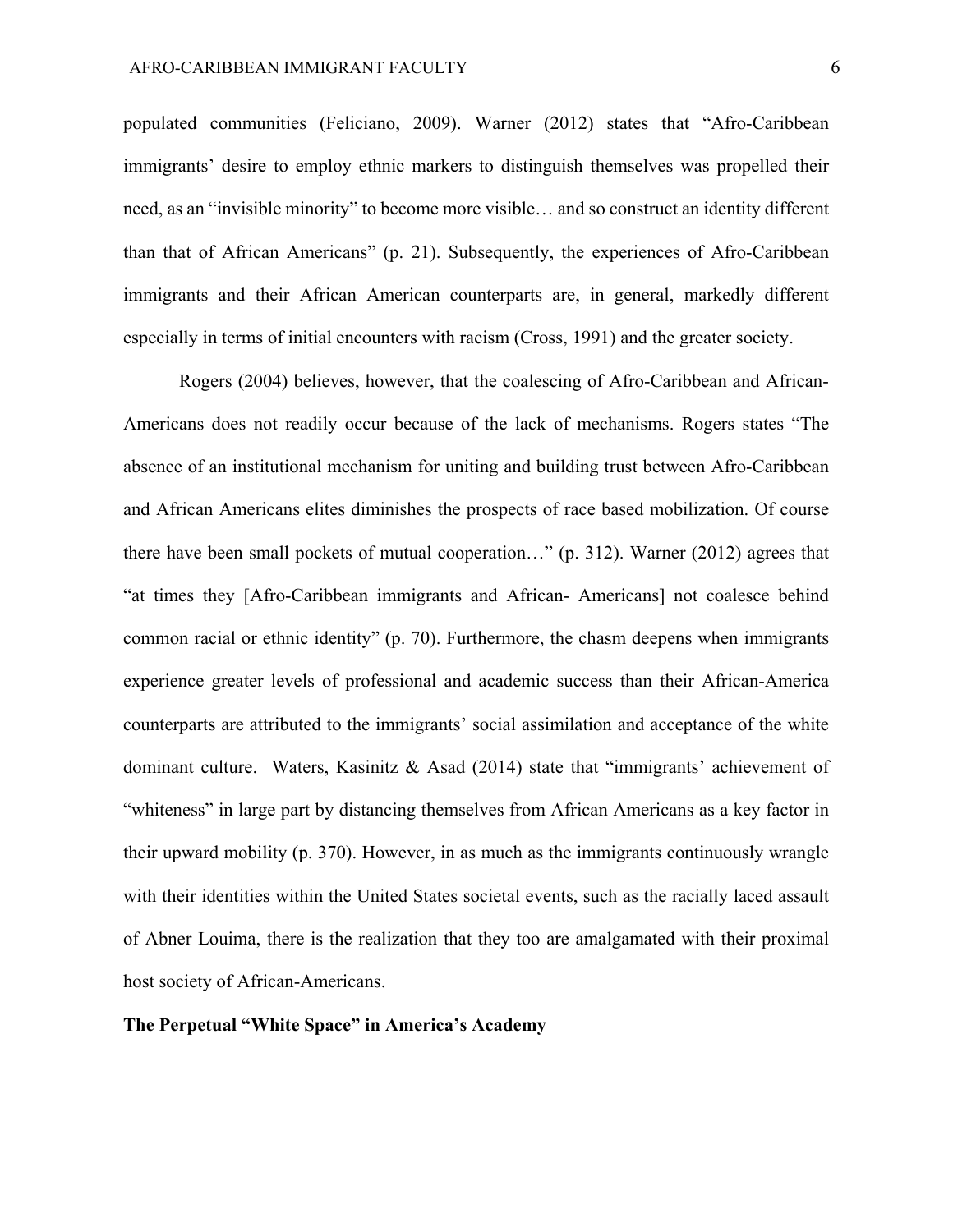populated communities (Feliciano, 2009). Warner (2012) states that "Afro-Caribbean immigrants' desire to employ ethnic markers to distinguish themselves was propelled their need, as an "invisible minority" to become more visible… and so construct an identity different than that of African Americans" (p. 21). Subsequently, the experiences of Afro-Caribbean immigrants and their African American counterparts are, in general, markedly different especially in terms of initial encounters with racism (Cross, 1991) and the greater society.

Rogers (2004) believes, however, that the coalescing of Afro-Caribbean and African-Americans does not readily occur because of the lack of mechanisms. Rogers states "The absence of an institutional mechanism for uniting and building trust between Afro-Caribbean and African Americans elites diminishes the prospects of race based mobilization. Of course there have been small pockets of mutual cooperation…" (p. 312). Warner (2012) agrees that "at times they [Afro-Caribbean immigrants and African- Americans] not coalesce behind common racial or ethnic identity" (p. 70). Furthermore, the chasm deepens when immigrants experience greater levels of professional and academic success than their African-America counterparts are attributed to the immigrants' social assimilation and acceptance of the white dominant culture. Waters, Kasinitz & Asad (2014) state that "immigrants' achievement of "whiteness" in large part by distancing themselves from African Americans as a key factor in their upward mobility (p. 370). However, in as much as the immigrants continuously wrangle with their identities within the United States societal events, such as the racially laced assault of Abner Louima, there is the realization that they too are amalgamated with their proximal host society of African-Americans.

## **The Perpetual "White Space" in America's Academy**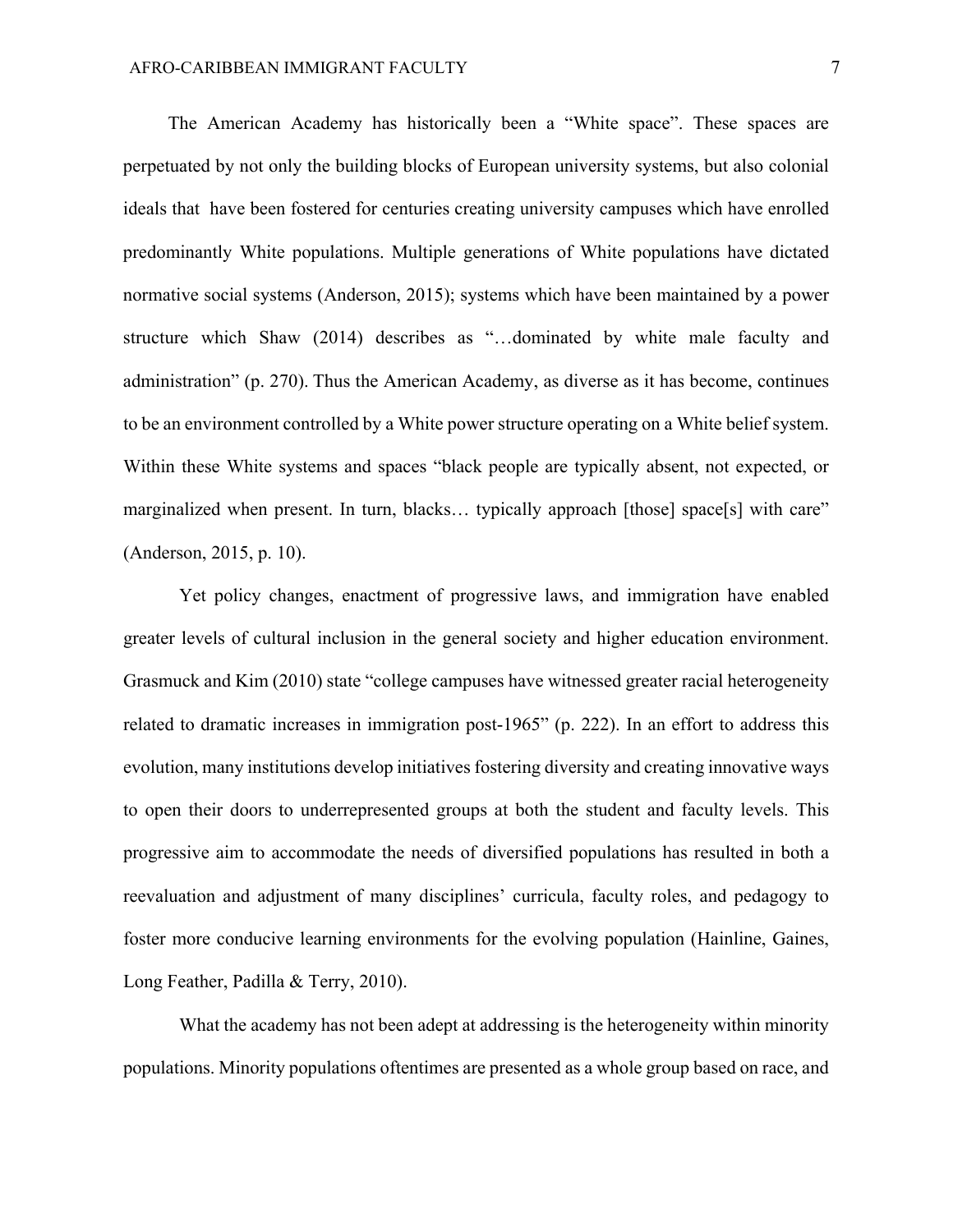The American Academy has historically been a "White space". These spaces are perpetuated by not only the building blocks of European university systems, but also colonial ideals that have been fostered for centuries creating university campuses which have enrolled predominantly White populations. Multiple generations of White populations have dictated normative social systems (Anderson, 2015); systems which have been maintained by a power structure which Shaw (2014) describes as "…dominated by white male faculty and administration" (p. 270). Thus the American Academy, as diverse as it has become, continues to be an environment controlled by a White power structure operating on a White belief system. Within these White systems and spaces "black people are typically absent, not expected, or marginalized when present. In turn, blacks... typically approach [those] space[s] with care" (Anderson, 2015, p. 10).

Yet policy changes, enactment of progressive laws, and immigration have enabled greater levels of cultural inclusion in the general society and higher education environment. Grasmuck and Kim (2010) state "college campuses have witnessed greater racial heterogeneity related to dramatic increases in immigration post-1965" (p. 222). In an effort to address this evolution, many institutions develop initiatives fostering diversity and creating innovative ways to open their doors to underrepresented groups at both the student and faculty levels. This progressive aim to accommodate the needs of diversified populations has resulted in both a reevaluation and adjustment of many disciplines' curricula, faculty roles, and pedagogy to foster more conducive learning environments for the evolving population (Hainline, Gaines, Long Feather, Padilla & Terry, 2010).

What the academy has not been adept at addressing is the heterogeneity within minority populations. Minority populations oftentimes are presented as a whole group based on race, and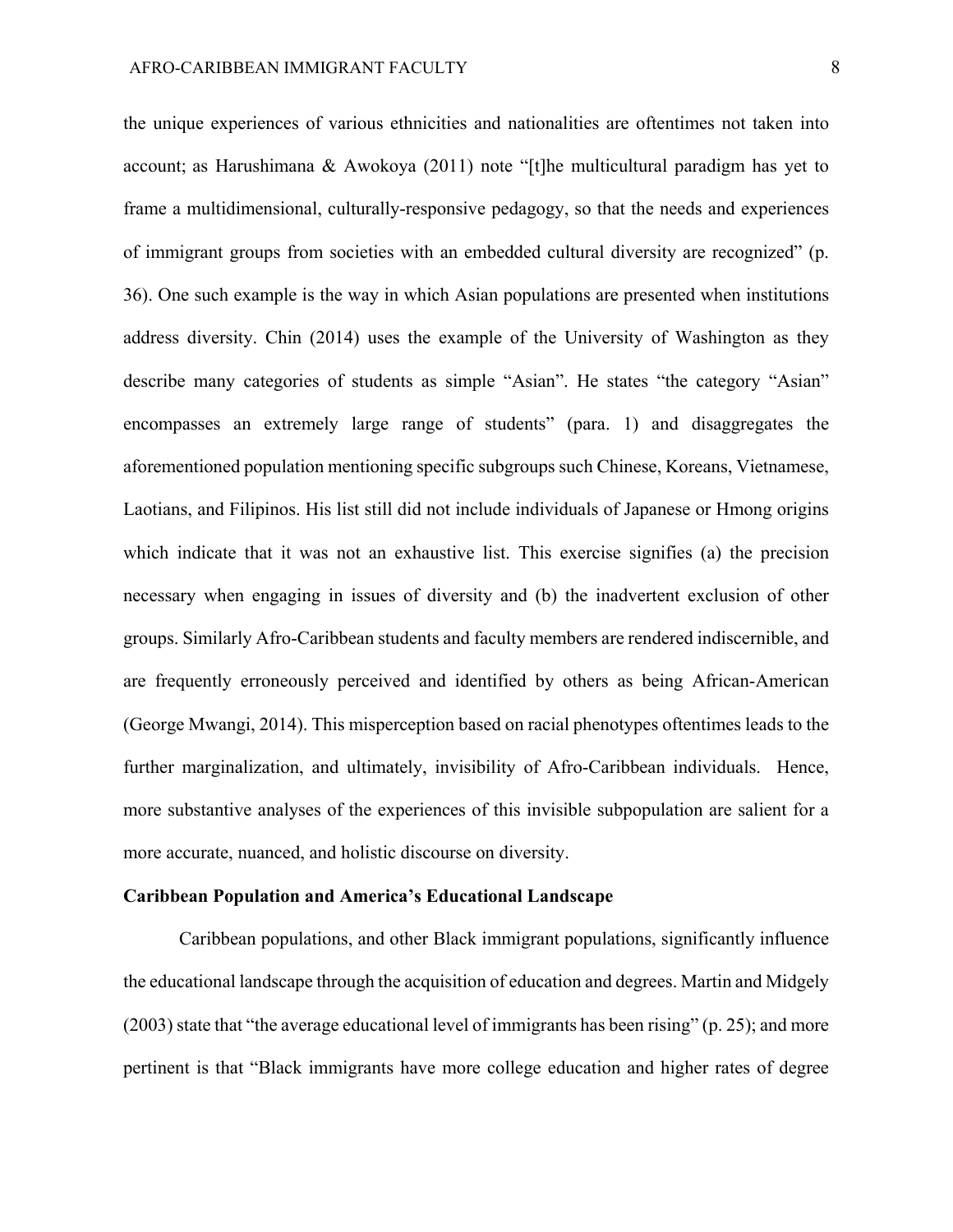the unique experiences of various ethnicities and nationalities are oftentimes not taken into account; as Harushimana & Awokoya (2011) note "[t]he multicultural paradigm has yet to frame a multidimensional, culturally-responsive pedagogy, so that the needs and experiences of immigrant groups from societies with an embedded cultural diversity are recognized" (p. 36). One such example is the way in which Asian populations are presented when institutions address diversity. Chin (2014) uses the example of the University of Washington as they describe many categories of students as simple "Asian". He states "the category "Asian" encompasses an extremely large range of students" (para. 1) and disaggregates the aforementioned population mentioning specific subgroups such Chinese, Koreans, Vietnamese, Laotians, and Filipinos. His list still did not include individuals of Japanese or Hmong origins which indicate that it was not an exhaustive list. This exercise signifies (a) the precision necessary when engaging in issues of diversity and (b) the inadvertent exclusion of other groups. Similarly Afro-Caribbean students and faculty members are rendered indiscernible, and are frequently erroneously perceived and identified by others as being African-American (George Mwangi, 2014). This misperception based on racial phenotypes oftentimes leads to the further marginalization, and ultimately, invisibility of Afro-Caribbean individuals. Hence, more substantive analyses of the experiences of this invisible subpopulation are salient for a more accurate, nuanced, and holistic discourse on diversity.

#### **Caribbean Population and America's Educational Landscape**

Caribbean populations, and other Black immigrant populations, significantly influence the educational landscape through the acquisition of education and degrees. Martin and Midgely (2003) state that "the average educational level of immigrants has been rising" (p. 25); and more pertinent is that "Black immigrants have more college education and higher rates of degree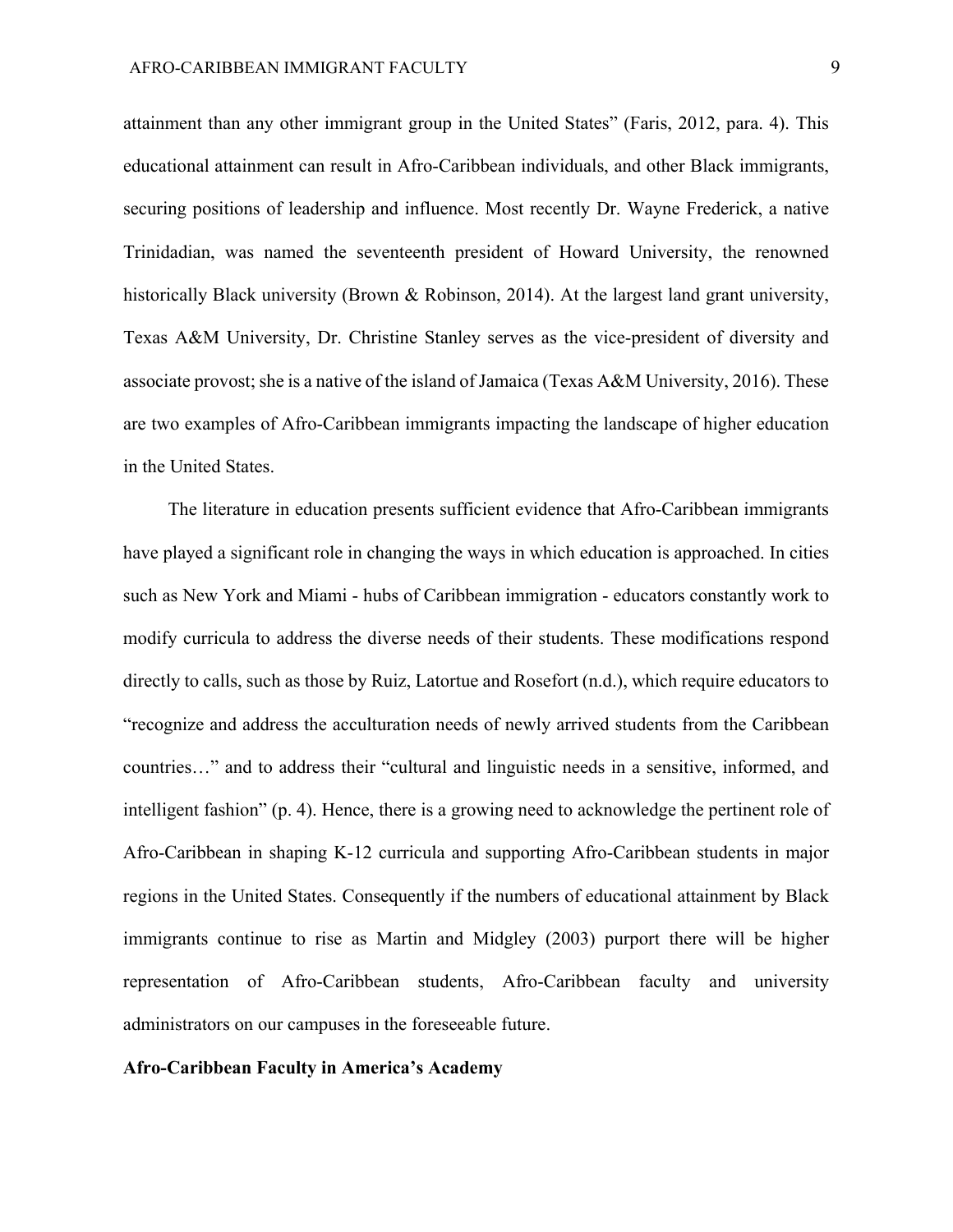attainment than any other immigrant group in the United States" (Faris, 2012, para. 4). This educational attainment can result in Afro-Caribbean individuals, and other Black immigrants, securing positions of leadership and influence. Most recently Dr. Wayne Frederick, a native Trinidadian, was named the seventeenth president of Howard University, the renowned historically Black university (Brown & Robinson, 2014). At the largest land grant university, Texas A&M University, Dr. Christine Stanley serves as the vice-president of diversity and associate provost; she is a native of the island of Jamaica (Texas A&M University, 2016). These are two examples of Afro-Caribbean immigrants impacting the landscape of higher education in the United States.

The literature in education presents sufficient evidence that Afro-Caribbean immigrants have played a significant role in changing the ways in which education is approached. In cities such as New York and Miami - hubs of Caribbean immigration - educators constantly work to modify curricula to address the diverse needs of their students. These modifications respond directly to calls, such as those by Ruiz, Latortue and Rosefort (n.d.), which require educators to "recognize and address the acculturation needs of newly arrived students from the Caribbean countries…" and to address their "cultural and linguistic needs in a sensitive, informed, and intelligent fashion" (p. 4). Hence, there is a growing need to acknowledge the pertinent role of Afro-Caribbean in shaping K-12 curricula and supporting Afro-Caribbean students in major regions in the United States. Consequently if the numbers of educational attainment by Black immigrants continue to rise as Martin and Midgley (2003) purport there will be higher representation of Afro-Caribbean students, Afro-Caribbean faculty and university administrators on our campuses in the foreseeable future.

#### **Afro-Caribbean Faculty in America's Academy**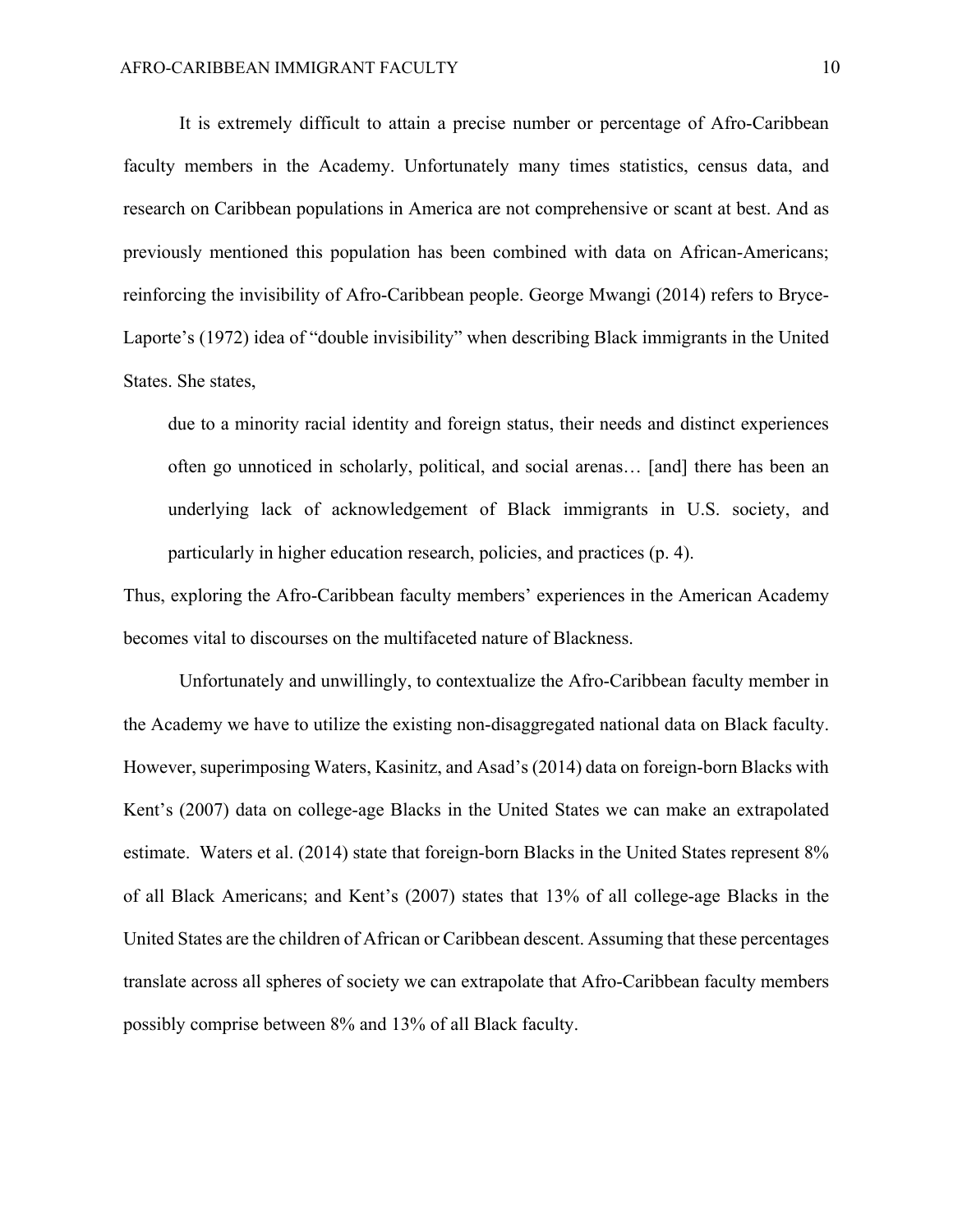It is extremely difficult to attain a precise number or percentage of Afro-Caribbean faculty members in the Academy. Unfortunately many times statistics, census data, and research on Caribbean populations in America are not comprehensive or scant at best. And as previously mentioned this population has been combined with data on African-Americans; reinforcing the invisibility of Afro-Caribbean people. George Mwangi (2014) refers to Bryce-Laporte's (1972) idea of "double invisibility" when describing Black immigrants in the United States. She states,

due to a minority racial identity and foreign status, their needs and distinct experiences often go unnoticed in scholarly, political, and social arenas… [and] there has been an underlying lack of acknowledgement of Black immigrants in U.S. society, and particularly in higher education research, policies, and practices (p. 4).

Thus, exploring the Afro-Caribbean faculty members' experiences in the American Academy becomes vital to discourses on the multifaceted nature of Blackness.

Unfortunately and unwillingly, to contextualize the Afro-Caribbean faculty member in the Academy we have to utilize the existing non-disaggregated national data on Black faculty. However, superimposing Waters, Kasinitz, and Asad's (2014) data on foreign-born Blacks with Kent's (2007) data on college-age Blacks in the United States we can make an extrapolated estimate. Waters et al. (2014) state that foreign-born Blacks in the United States represent 8% of all Black Americans; and Kent's (2007) states that 13% of all college-age Blacks in the United States are the children of African or Caribbean descent. Assuming that these percentages translate across all spheres of society we can extrapolate that Afro-Caribbean faculty members possibly comprise between 8% and 13% of all Black faculty.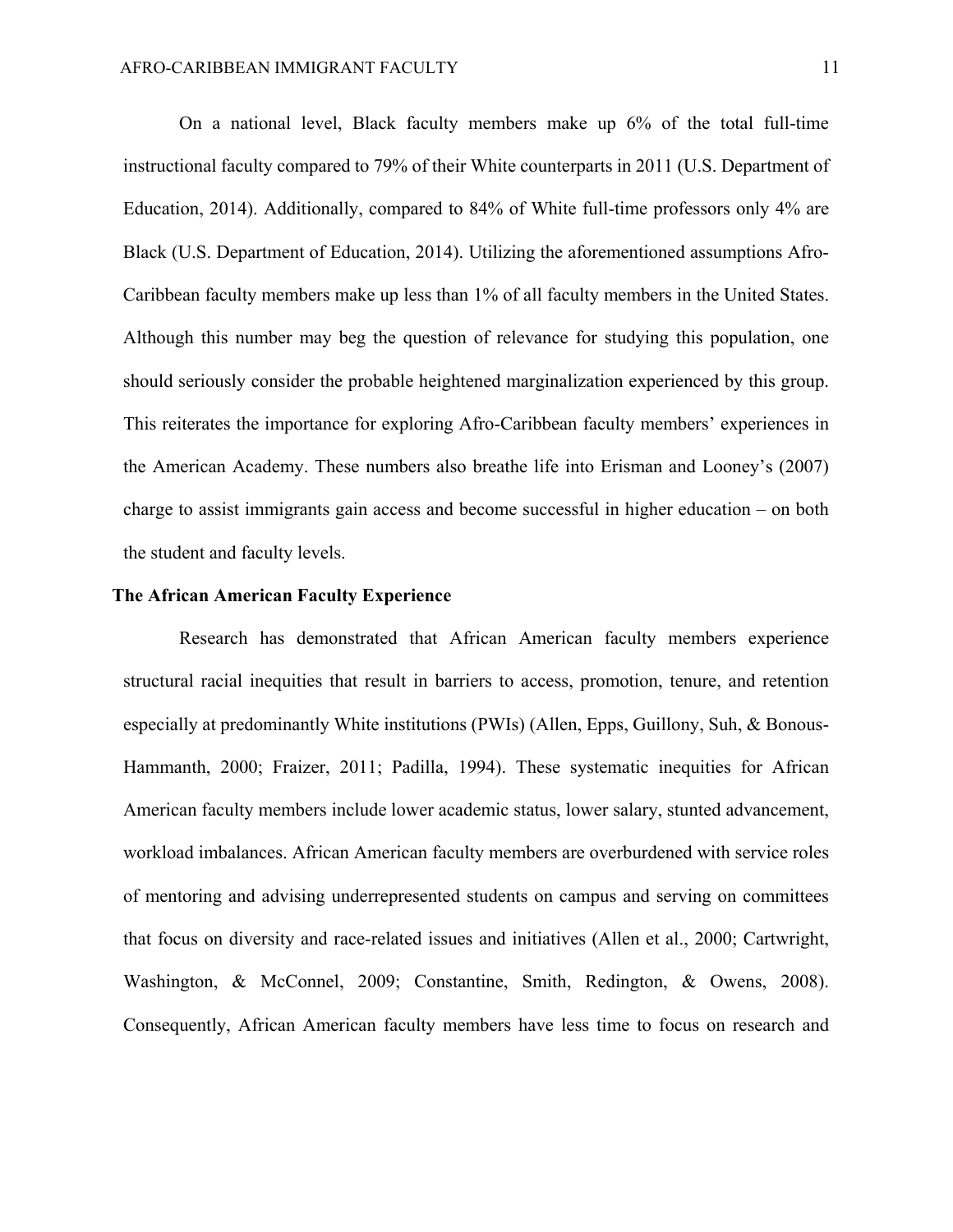On a national level, Black faculty members make up 6% of the total full-time instructional faculty compared to 79% of their White counterparts in 2011 (U.S. Department of Education, 2014). Additionally, compared to 84% of White full-time professors only 4% are Black (U.S. Department of Education, 2014). Utilizing the aforementioned assumptions Afro-Caribbean faculty members make up less than 1% of all faculty members in the United States. Although this number may beg the question of relevance for studying this population, one should seriously consider the probable heightened marginalization experienced by this group. This reiterates the importance for exploring Afro-Caribbean faculty members' experiences in the American Academy. These numbers also breathe life into Erisman and Looney's (2007) charge to assist immigrants gain access and become successful in higher education – on both the student and faculty levels.

#### **The African American Faculty Experience**

Research has demonstrated that African American faculty members experience structural racial inequities that result in barriers to access, promotion, tenure, and retention especially at predominantly White institutions (PWIs) (Allen, Epps, Guillony, Suh, & Bonous-Hammanth, 2000; Fraizer, 2011; Padilla, 1994). These systematic inequities for African American faculty members include lower academic status, lower salary, stunted advancement, workload imbalances. African American faculty members are overburdened with service roles of mentoring and advising underrepresented students on campus and serving on committees that focus on diversity and race-related issues and initiatives (Allen et al., 2000; Cartwright, Washington, & McConnel, 2009; Constantine, Smith, Redington, & Owens, 2008). Consequently, African American faculty members have less time to focus on research and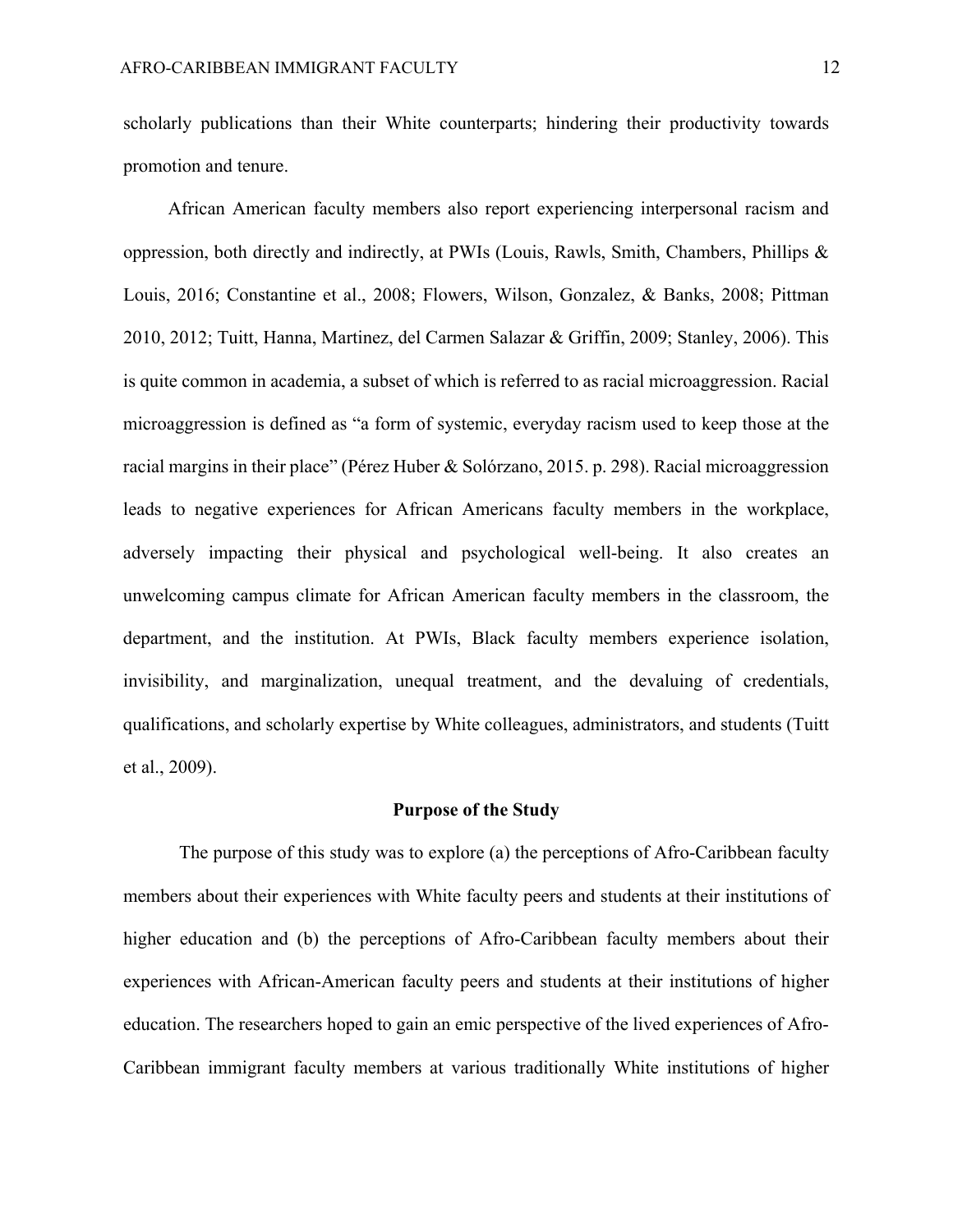scholarly publications than their White counterparts; hindering their productivity towards promotion and tenure.

African American faculty members also report experiencing interpersonal racism and oppression, both directly and indirectly, at PWIs (Louis, Rawls, Smith, Chambers, Phillips & Louis, 2016; Constantine et al., 2008; Flowers, Wilson, Gonzalez, & Banks, 2008; Pittman 2010, 2012; Tuitt, Hanna, Martinez, del Carmen Salazar & Griffin, 2009; Stanley, 2006). This is quite common in academia, a subset of which is referred to as racial microaggression. Racial microaggression is defined as "a form of systemic, everyday racism used to keep those at the racial margins in their place" (Pérez Huber & Solórzano, 2015. p. 298). Racial microaggression leads to negative experiences for African Americans faculty members in the workplace, adversely impacting their physical and psychological well-being. It also creates an unwelcoming campus climate for African American faculty members in the classroom, the department, and the institution. At PWIs, Black faculty members experience isolation, invisibility, and marginalization, unequal treatment, and the devaluing of credentials, qualifications, and scholarly expertise by White colleagues, administrators, and students (Tuitt et al., 2009).

#### **Purpose of the Study**

The purpose of this study was to explore (a) the perceptions of Afro-Caribbean faculty members about their experiences with White faculty peers and students at their institutions of higher education and (b) the perceptions of Afro-Caribbean faculty members about their experiences with African-American faculty peers and students at their institutions of higher education. The researchers hoped to gain an emic perspective of the lived experiences of Afro-Caribbean immigrant faculty members at various traditionally White institutions of higher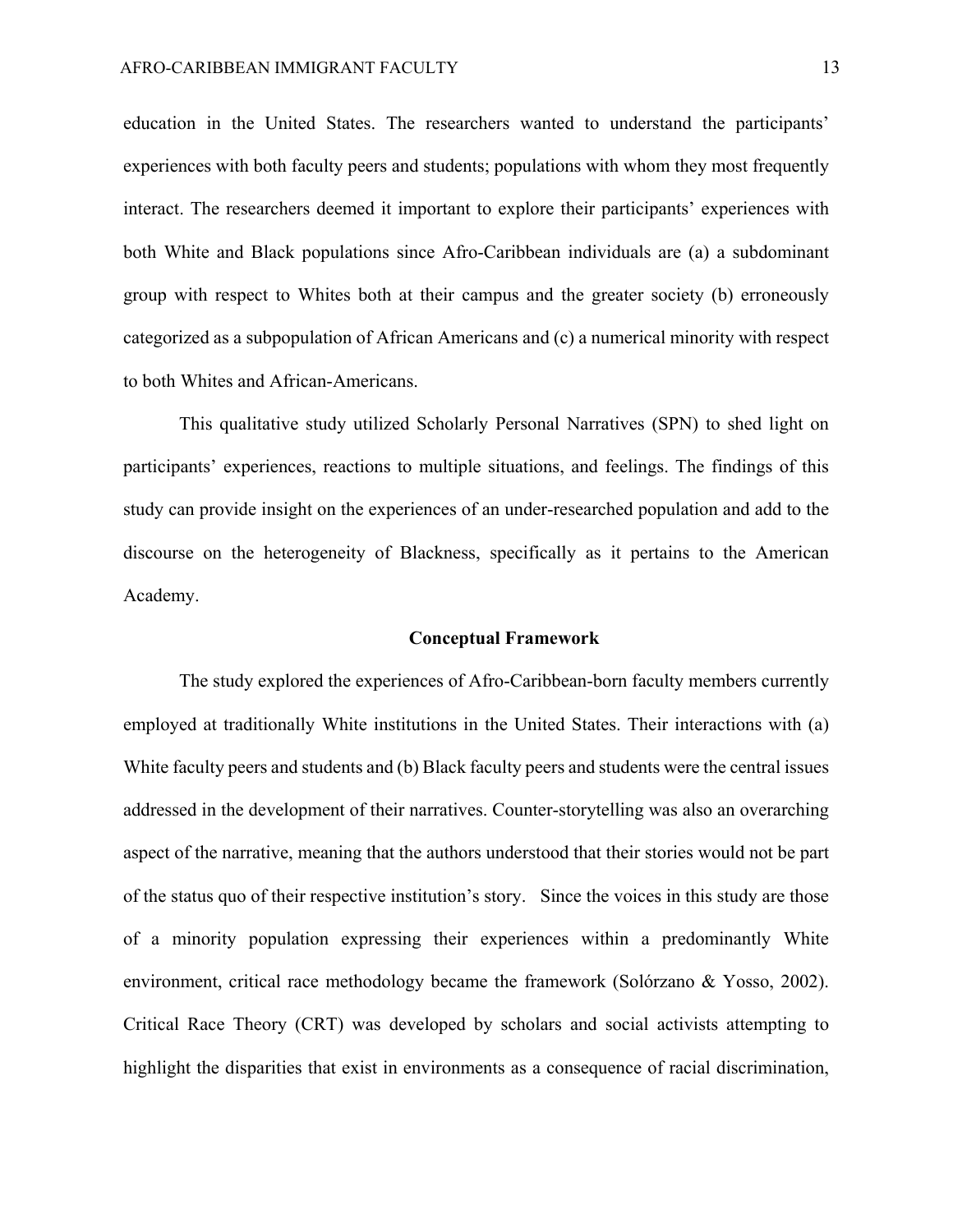education in the United States. The researchers wanted to understand the participants' experiences with both faculty peers and students; populations with whom they most frequently interact. The researchers deemed it important to explore their participants' experiences with both White and Black populations since Afro-Caribbean individuals are (a) a subdominant group with respect to Whites both at their campus and the greater society (b) erroneously categorized as a subpopulation of African Americans and (c) a numerical minority with respect to both Whites and African-Americans.

This qualitative study utilized Scholarly Personal Narratives (SPN) to shed light on participants' experiences, reactions to multiple situations, and feelings. The findings of this study can provide insight on the experiences of an under-researched population and add to the discourse on the heterogeneity of Blackness, specifically as it pertains to the American Academy.

#### **Conceptual Framework**

The study explored the experiences of Afro-Caribbean-born faculty members currently employed at traditionally White institutions in the United States. Their interactions with (a) White faculty peers and students and (b) Black faculty peers and students were the central issues addressed in the development of their narratives. Counter-storytelling was also an overarching aspect of the narrative, meaning that the authors understood that their stories would not be part of the status quo of their respective institution's story. Since the voices in this study are those of a minority population expressing their experiences within a predominantly White environment, critical race methodology became the framework (Solórzano & Yosso, 2002). Critical Race Theory (CRT) was developed by scholars and social activists attempting to highlight the disparities that exist in environments as a consequence of racial discrimination,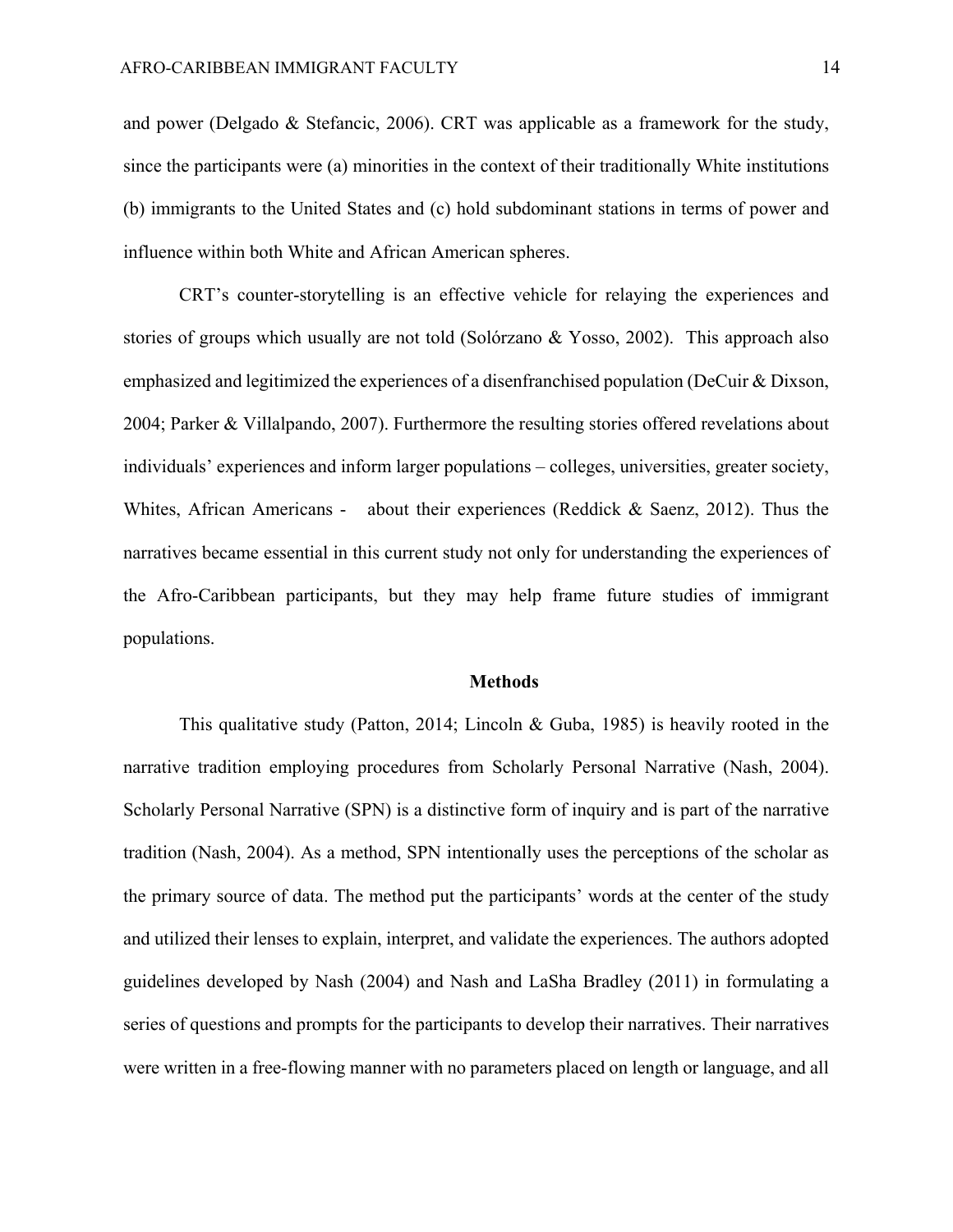and power (Delgado & Stefancic, 2006). CRT was applicable as a framework for the study, since the participants were (a) minorities in the context of their traditionally White institutions (b) immigrants to the United States and (c) hold subdominant stations in terms of power and influence within both White and African American spheres.

CRT's counter-storytelling is an effective vehicle for relaying the experiences and stories of groups which usually are not told (Solórzano & Yosso, 2002). This approach also emphasized and legitimized the experiences of a disenfranchised population (DeCuir & Dixson, 2004; Parker & Villalpando, 2007). Furthermore the resulting stories offered revelations about individuals' experiences and inform larger populations – colleges, universities, greater society, Whites, African Americans - about their experiences (Reddick & Saenz, 2012). Thus the narratives became essential in this current study not only for understanding the experiences of the Afro-Caribbean participants, but they may help frame future studies of immigrant populations.

#### **Methods**

This qualitative study (Patton, 2014; Lincoln & Guba, 1985) is heavily rooted in the narrative tradition employing procedures from Scholarly Personal Narrative (Nash, 2004). Scholarly Personal Narrative (SPN) is a distinctive form of inquiry and is part of the narrative tradition (Nash, 2004). As a method, SPN intentionally uses the perceptions of the scholar as the primary source of data. The method put the participants' words at the center of the study and utilized their lenses to explain, interpret, and validate the experiences. The authors adopted guidelines developed by Nash (2004) and Nash and LaSha Bradley (2011) in formulating a series of questions and prompts for the participants to develop their narratives. Their narratives were written in a free-flowing manner with no parameters placed on length or language, and all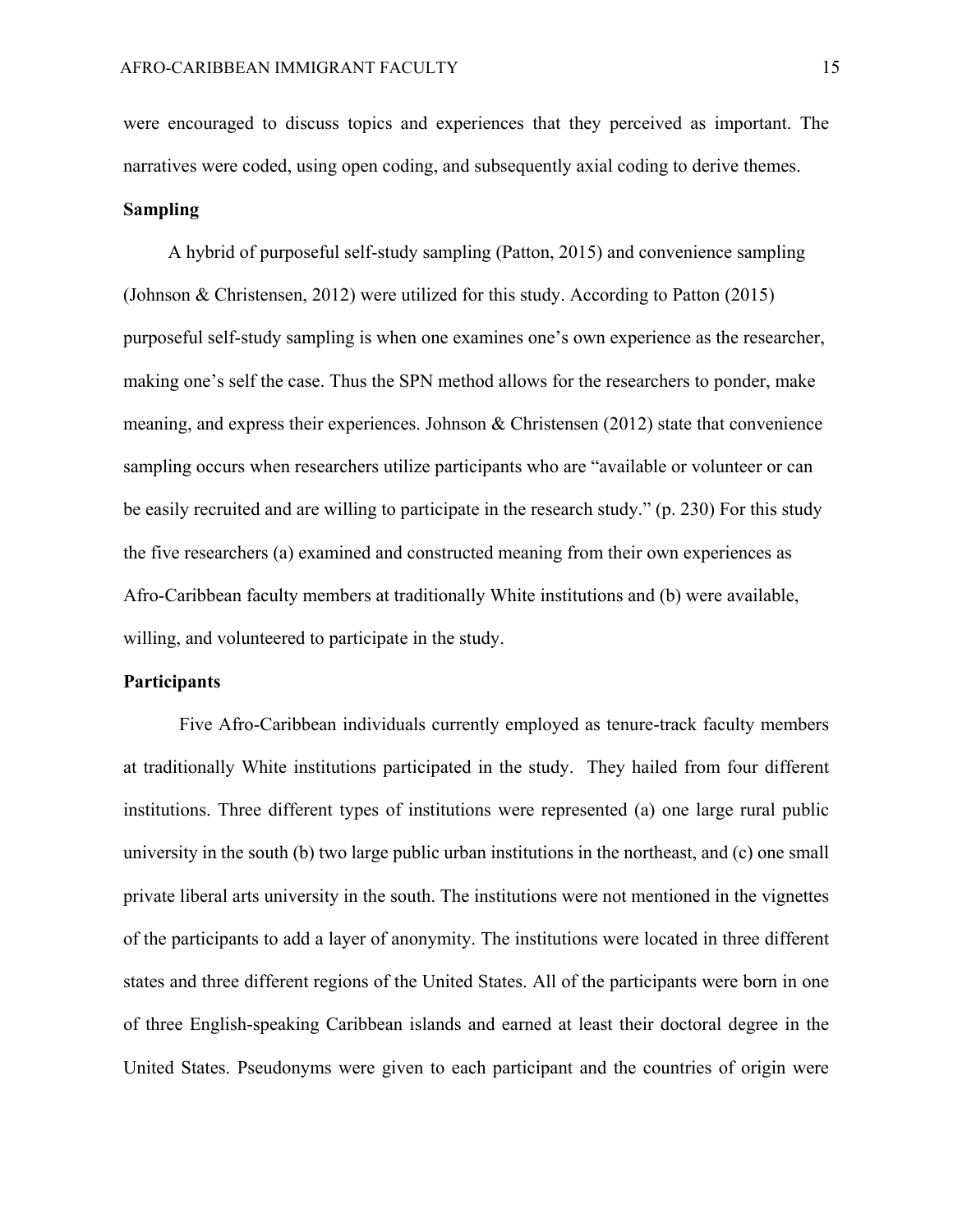were encouraged to discuss topics and experiences that they perceived as important. The narratives were coded, using open coding, and subsequently axial coding to derive themes.

## **Sampling**

A hybrid of purposeful self-study sampling (Patton, 2015) and convenience sampling (Johnson & Christensen, 2012) were utilized for this study. According to Patton (2015) purposeful self-study sampling is when one examines one's own experience as the researcher, making one's self the case. Thus the SPN method allows for the researchers to ponder, make meaning, and express their experiences. Johnson & Christensen (2012) state that convenience sampling occurs when researchers utilize participants who are "available or volunteer or can be easily recruited and are willing to participate in the research study." (p. 230) For this study the five researchers (a) examined and constructed meaning from their own experiences as Afro-Caribbean faculty members at traditionally White institutions and (b) were available, willing, and volunteered to participate in the study.

#### **Participants**

Five Afro-Caribbean individuals currently employed as tenure-track faculty members at traditionally White institutions participated in the study. They hailed from four different institutions. Three different types of institutions were represented (a) one large rural public university in the south (b) two large public urban institutions in the northeast, and (c) one small private liberal arts university in the south. The institutions were not mentioned in the vignettes of the participants to add a layer of anonymity. The institutions were located in three different states and three different regions of the United States. All of the participants were born in one of three English-speaking Caribbean islands and earned at least their doctoral degree in the United States. Pseudonyms were given to each participant and the countries of origin were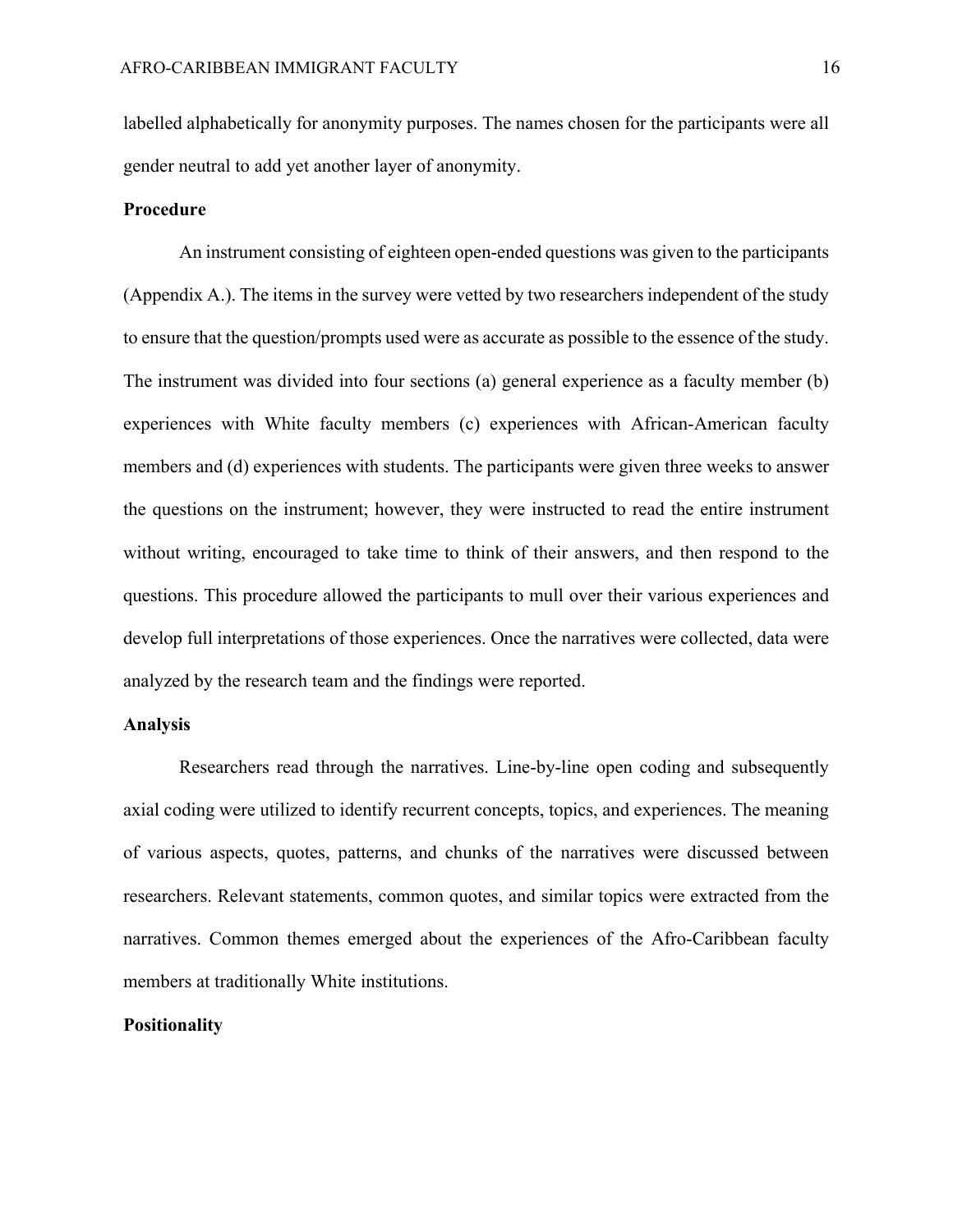labelled alphabetically for anonymity purposes. The names chosen for the participants were all gender neutral to add yet another layer of anonymity.

#### **Procedure**

An instrument consisting of eighteen open-ended questions was given to the participants (Appendix A.). The items in the survey were vetted by two researchers independent of the study to ensure that the question/prompts used were as accurate as possible to the essence of the study. The instrument was divided into four sections (a) general experience as a faculty member (b) experiences with White faculty members (c) experiences with African-American faculty members and (d) experiences with students. The participants were given three weeks to answer the questions on the instrument; however, they were instructed to read the entire instrument without writing, encouraged to take time to think of their answers, and then respond to the questions. This procedure allowed the participants to mull over their various experiences and develop full interpretations of those experiences. Once the narratives were collected, data were analyzed by the research team and the findings were reported.

### **Analysis**

Researchers read through the narratives. Line-by-line open coding and subsequently axial coding were utilized to identify recurrent concepts, topics, and experiences. The meaning of various aspects, quotes, patterns, and chunks of the narratives were discussed between researchers. Relevant statements, common quotes, and similar topics were extracted from the narratives. Common themes emerged about the experiences of the Afro-Caribbean faculty members at traditionally White institutions.

## **Positionality**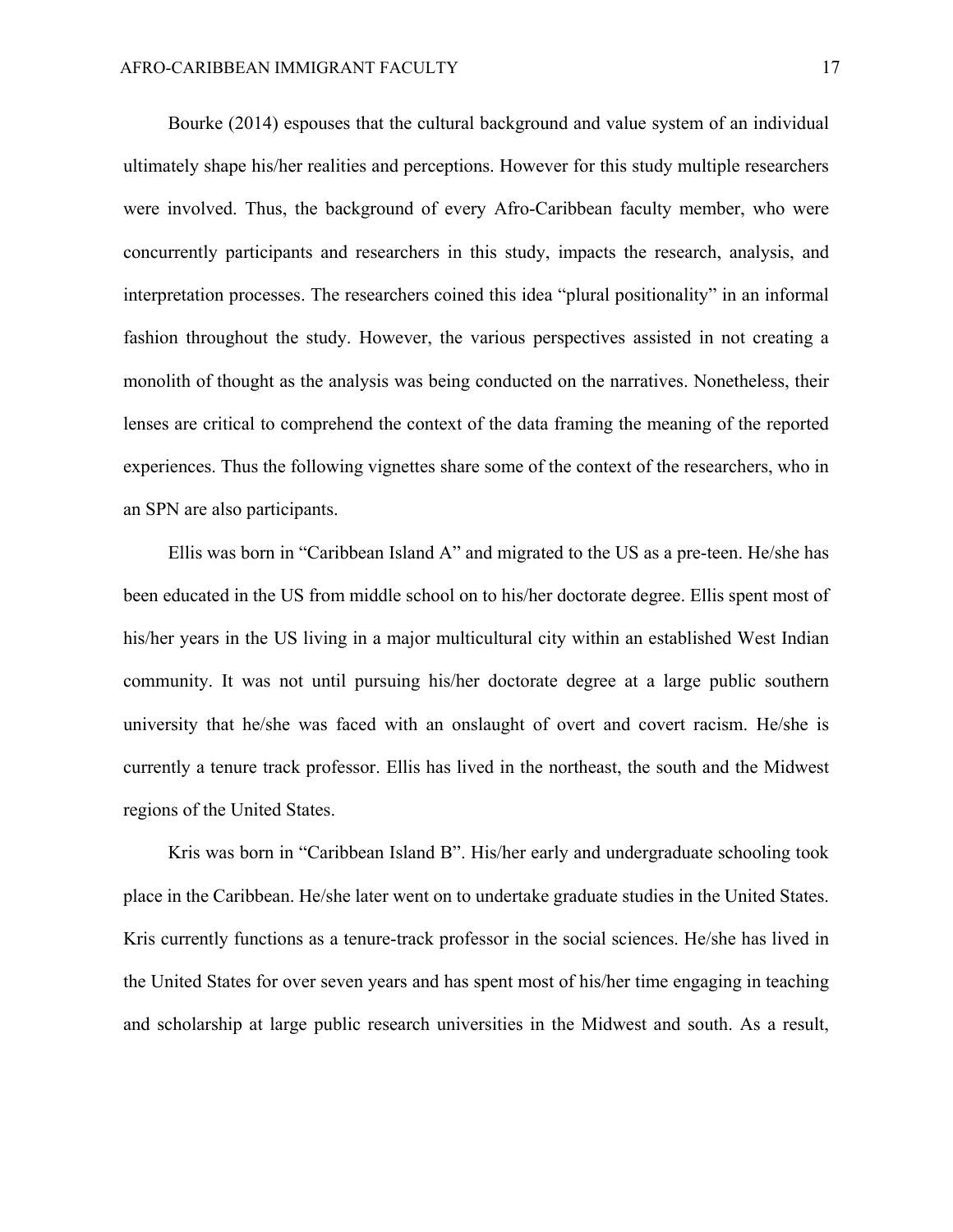Bourke (2014) espouses that the cultural background and value system of an individual ultimately shape his/her realities and perceptions. However for this study multiple researchers were involved. Thus, the background of every Afro-Caribbean faculty member, who were concurrently participants and researchers in this study, impacts the research, analysis, and interpretation processes. The researchers coined this idea "plural positionality" in an informal fashion throughout the study. However, the various perspectives assisted in not creating a monolith of thought as the analysis was being conducted on the narratives. Nonetheless, their lenses are critical to comprehend the context of the data framing the meaning of the reported experiences. Thus the following vignettes share some of the context of the researchers, who in an SPN are also participants.

Ellis was born in "Caribbean Island A" and migrated to the US as a pre-teen. He/she has been educated in the US from middle school on to his/her doctorate degree. Ellis spent most of his/her years in the US living in a major multicultural city within an established West Indian community. It was not until pursuing his/her doctorate degree at a large public southern university that he/she was faced with an onslaught of overt and covert racism. He/she is currently a tenure track professor. Ellis has lived in the northeast, the south and the Midwest regions of the United States.

Kris was born in "Caribbean Island B". His/her early and undergraduate schooling took place in the Caribbean. He/she later went on to undertake graduate studies in the United States. Kris currently functions as a tenure-track professor in the social sciences. He/she has lived in the United States for over seven years and has spent most of his/her time engaging in teaching and scholarship at large public research universities in the Midwest and south. As a result,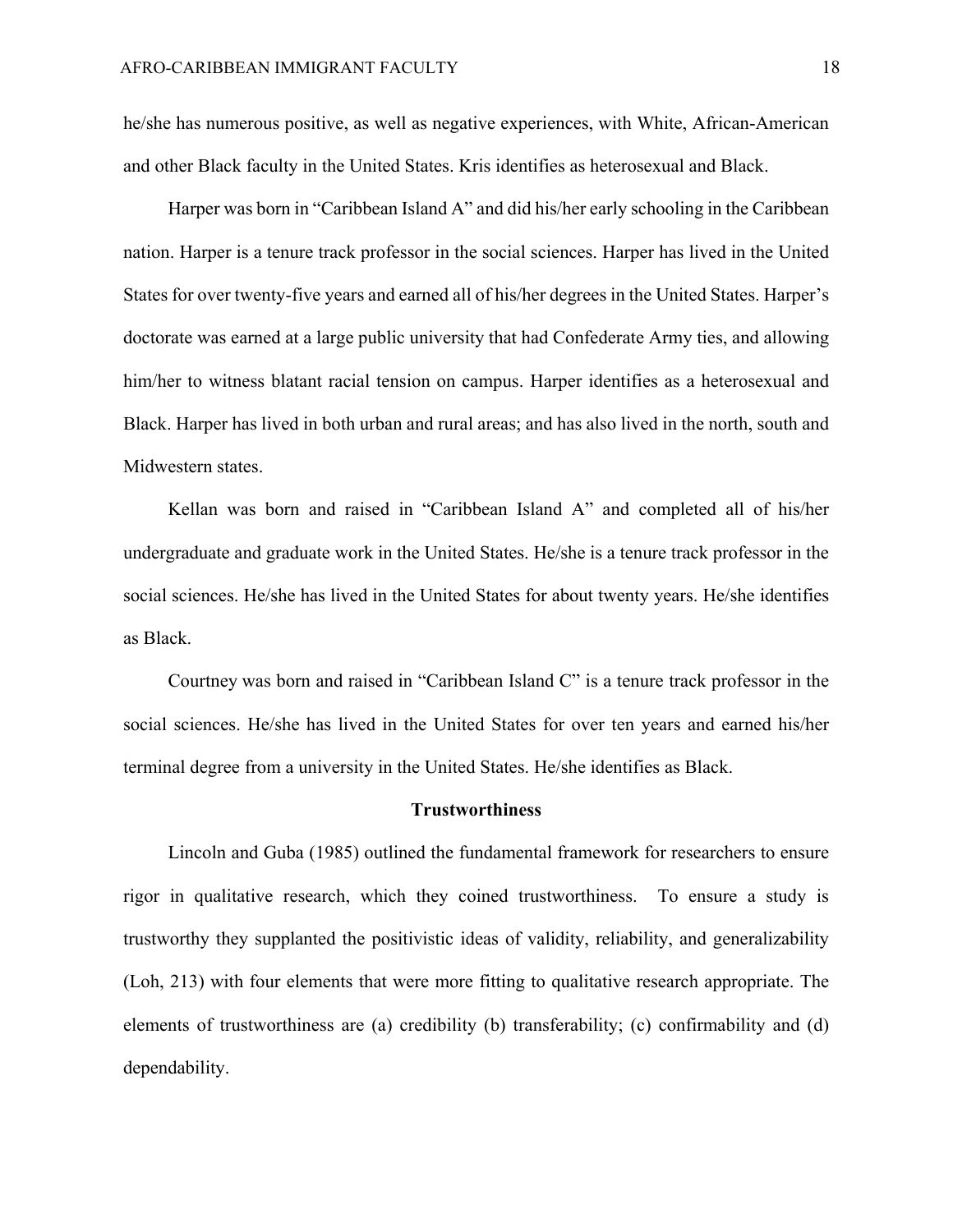he/she has numerous positive, as well as negative experiences, with White, African-American and other Black faculty in the United States. Kris identifies as heterosexual and Black.

Harper was born in "Caribbean Island A" and did his/her early schooling in the Caribbean nation. Harper is a tenure track professor in the social sciences. Harper has lived in the United States for over twenty-five years and earned all of his/her degrees in the United States. Harper's doctorate was earned at a large public university that had Confederate Army ties, and allowing him/her to witness blatant racial tension on campus. Harper identifies as a heterosexual and Black. Harper has lived in both urban and rural areas; and has also lived in the north, south and Midwestern states.

Kellan was born and raised in "Caribbean Island A" and completed all of his/her undergraduate and graduate work in the United States. He/she is a tenure track professor in the social sciences. He/she has lived in the United States for about twenty years. He/she identifies as Black.

Courtney was born and raised in "Caribbean Island C" is a tenure track professor in the social sciences. He/she has lived in the United States for over ten years and earned his/her terminal degree from a university in the United States. He/she identifies as Black.

#### **Trustworthiness**

 Lincoln and Guba (1985) outlined the fundamental framework for researchers to ensure rigor in qualitative research, which they coined trustworthiness. To ensure a study is trustworthy they supplanted the positivistic ideas of validity, reliability, and generalizability (Loh, 213) with four elements that were more fitting to qualitative research appropriate. The elements of trustworthiness are (a) credibility (b) transferability; (c) confirmability and (d) dependability.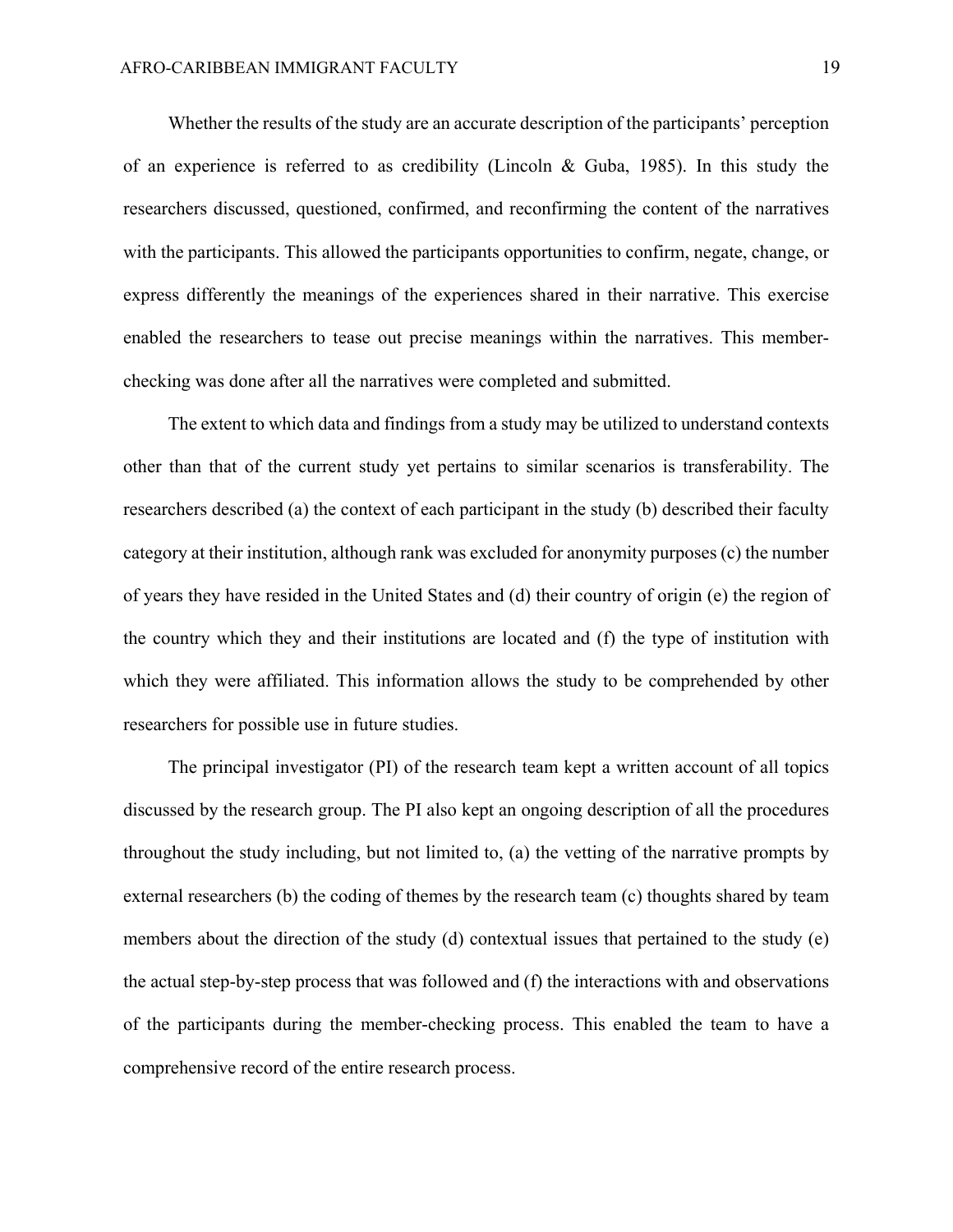Whether the results of the study are an accurate description of the participants' perception of an experience is referred to as credibility (Lincoln & Guba, 1985). In this study the researchers discussed, questioned, confirmed, and reconfirming the content of the narratives with the participants. This allowed the participants opportunities to confirm, negate, change, or express differently the meanings of the experiences shared in their narrative. This exercise enabled the researchers to tease out precise meanings within the narratives. This memberchecking was done after all the narratives were completed and submitted.

The extent to which data and findings from a study may be utilized to understand contexts other than that of the current study yet pertains to similar scenarios is transferability. The researchers described (a) the context of each participant in the study (b) described their faculty category at their institution, although rank was excluded for anonymity purposes (c) the number of years they have resided in the United States and (d) their country of origin (e) the region of the country which they and their institutions are located and (f) the type of institution with which they were affiliated. This information allows the study to be comprehended by other researchers for possible use in future studies.

The principal investigator (PI) of the research team kept a written account of all topics discussed by the research group. The PI also kept an ongoing description of all the procedures throughout the study including, but not limited to, (a) the vetting of the narrative prompts by external researchers (b) the coding of themes by the research team (c) thoughts shared by team members about the direction of the study (d) contextual issues that pertained to the study (e) the actual step-by-step process that was followed and (f) the interactions with and observations of the participants during the member-checking process. This enabled the team to have a comprehensive record of the entire research process.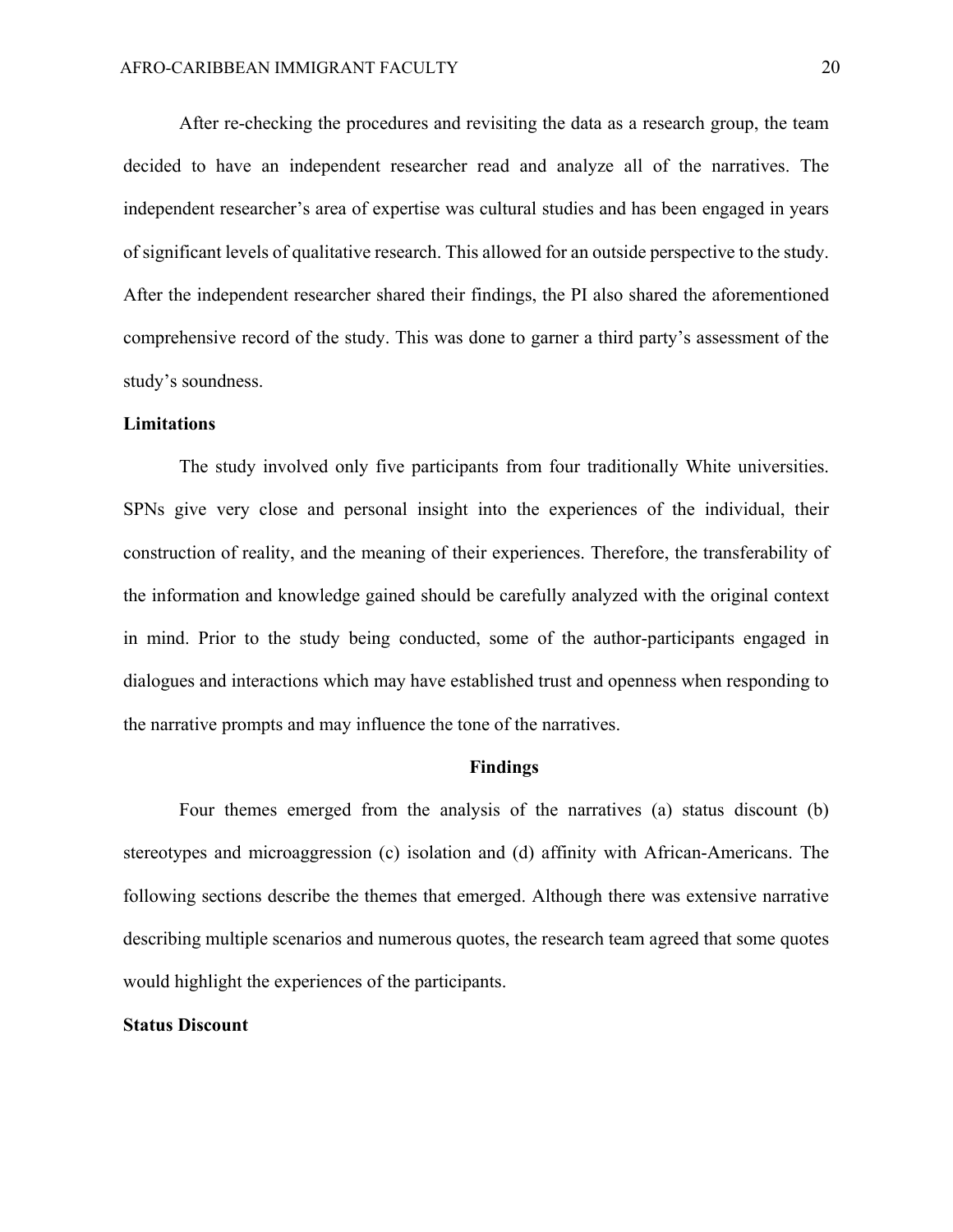After re-checking the procedures and revisiting the data as a research group, the team decided to have an independent researcher read and analyze all of the narratives. The independent researcher's area of expertise was cultural studies and has been engaged in years of significant levels of qualitative research. This allowed for an outside perspective to the study. After the independent researcher shared their findings, the PI also shared the aforementioned comprehensive record of the study. This was done to garner a third party's assessment of the study's soundness.

#### **Limitations**

The study involved only five participants from four traditionally White universities. SPNs give very close and personal insight into the experiences of the individual, their construction of reality, and the meaning of their experiences. Therefore, the transferability of the information and knowledge gained should be carefully analyzed with the original context in mind. Prior to the study being conducted, some of the author-participants engaged in dialogues and interactions which may have established trust and openness when responding to the narrative prompts and may influence the tone of the narratives.

#### **Findings**

Four themes emerged from the analysis of the narratives (a) status discount (b) stereotypes and microaggression (c) isolation and (d) affinity with African-Americans. The following sections describe the themes that emerged. Although there was extensive narrative describing multiple scenarios and numerous quotes, the research team agreed that some quotes would highlight the experiences of the participants.

#### **Status Discount**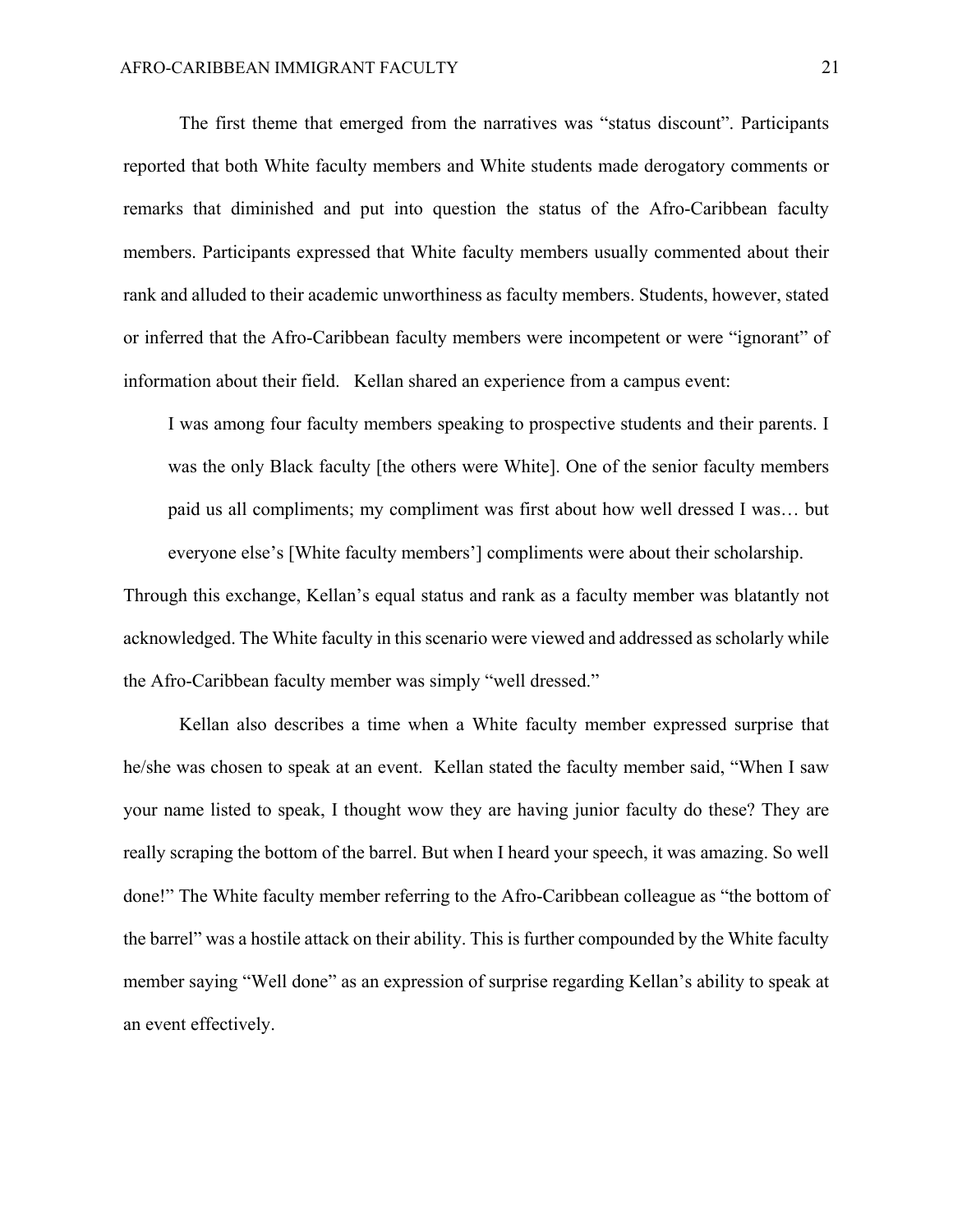The first theme that emerged from the narratives was "status discount". Participants reported that both White faculty members and White students made derogatory comments or remarks that diminished and put into question the status of the Afro-Caribbean faculty members. Participants expressed that White faculty members usually commented about their rank and alluded to their academic unworthiness as faculty members. Students, however, stated or inferred that the Afro-Caribbean faculty members were incompetent or were "ignorant" of information about their field. Kellan shared an experience from a campus event:

I was among four faculty members speaking to prospective students and their parents. I was the only Black faculty [the others were White]. One of the senior faculty members paid us all compliments; my compliment was first about how well dressed I was… but everyone else's [White faculty members'] compliments were about their scholarship.

Through this exchange, Kellan's equal status and rank as a faculty member was blatantly not acknowledged. The White faculty in this scenario were viewed and addressed as scholarly while the Afro-Caribbean faculty member was simply "well dressed."

Kellan also describes a time when a White faculty member expressed surprise that he/she was chosen to speak at an event. Kellan stated the faculty member said, "When I saw your name listed to speak, I thought wow they are having junior faculty do these? They are really scraping the bottom of the barrel. But when I heard your speech, it was amazing. So well done!" The White faculty member referring to the Afro-Caribbean colleague as "the bottom of the barrel" was a hostile attack on their ability. This is further compounded by the White faculty member saying "Well done" as an expression of surprise regarding Kellan's ability to speak at an event effectively.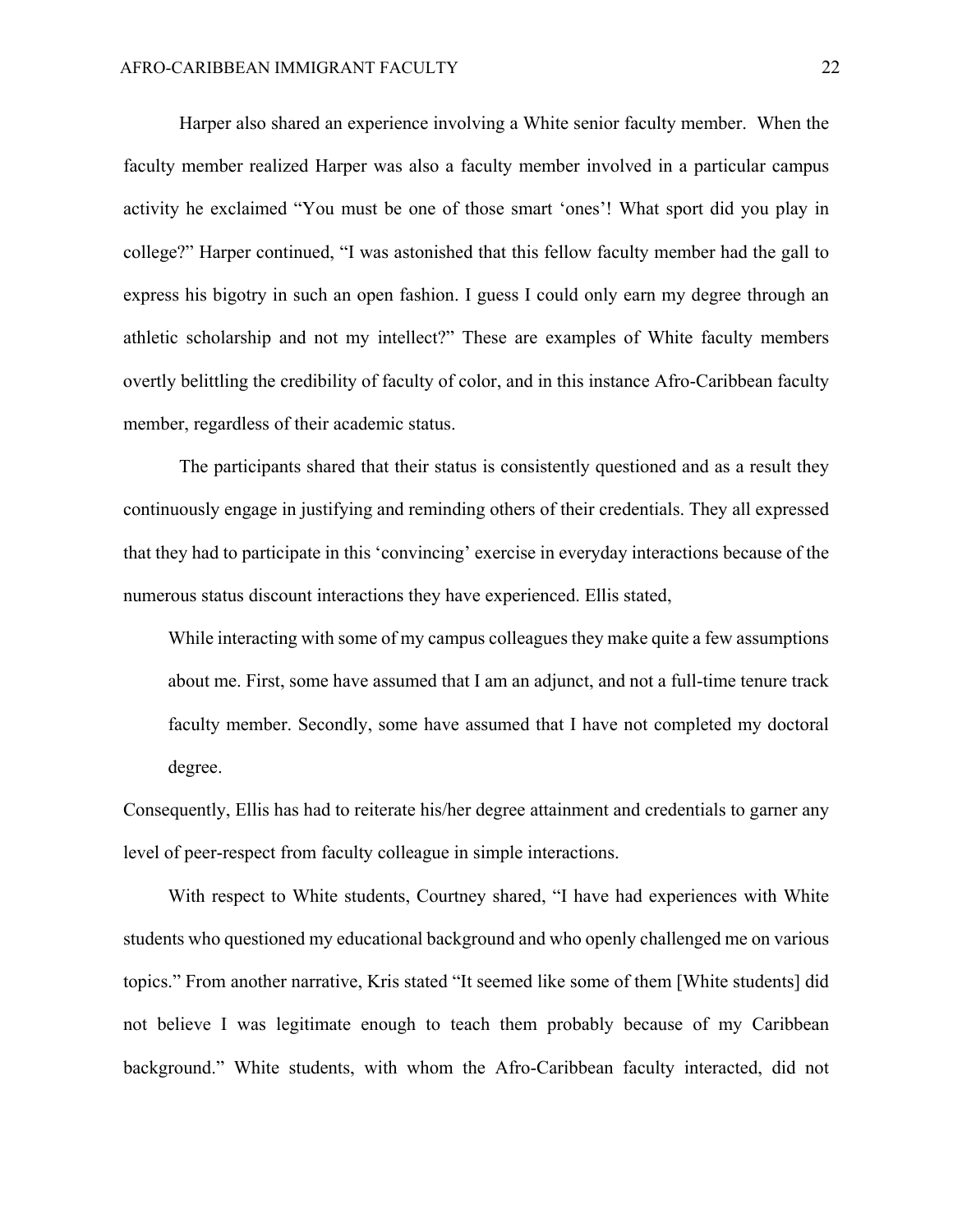Harper also shared an experience involving a White senior faculty member. When the faculty member realized Harper was also a faculty member involved in a particular campus activity he exclaimed "You must be one of those smart 'ones'! What sport did you play in college?" Harper continued, "I was astonished that this fellow faculty member had the gall to express his bigotry in such an open fashion. I guess I could only earn my degree through an athletic scholarship and not my intellect?" These are examples of White faculty members overtly belittling the credibility of faculty of color, and in this instance Afro-Caribbean faculty member, regardless of their academic status.

The participants shared that their status is consistently questioned and as a result they continuously engage in justifying and reminding others of their credentials. They all expressed that they had to participate in this 'convincing' exercise in everyday interactions because of the numerous status discount interactions they have experienced. Ellis stated,

While interacting with some of my campus colleagues they make quite a few assumptions about me. First, some have assumed that I am an adjunct, and not a full-time tenure track faculty member. Secondly, some have assumed that I have not completed my doctoral degree.

Consequently, Ellis has had to reiterate his/her degree attainment and credentials to garner any level of peer-respect from faculty colleague in simple interactions.

 With respect to White students, Courtney shared, "I have had experiences with White students who questioned my educational background and who openly challenged me on various topics." From another narrative, Kris stated "It seemed like some of them [White students] did not believe I was legitimate enough to teach them probably because of my Caribbean background." White students, with whom the Afro-Caribbean faculty interacted, did not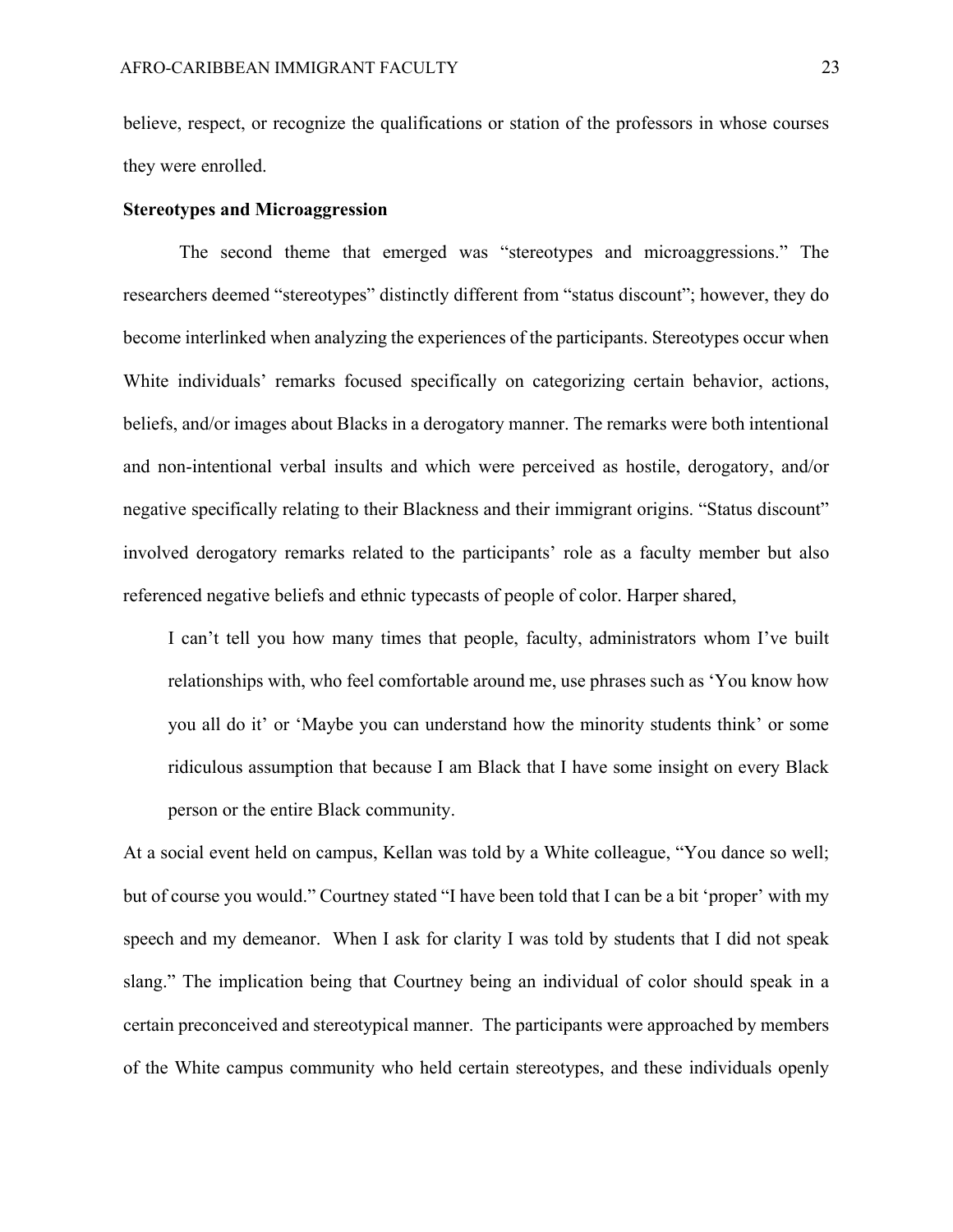believe, respect, or recognize the qualifications or station of the professors in whose courses they were enrolled.

#### **Stereotypes and Microaggression**

The second theme that emerged was "stereotypes and microaggressions." The researchers deemed "stereotypes" distinctly different from "status discount"; however, they do become interlinked when analyzing the experiences of the participants. Stereotypes occur when White individuals' remarks focused specifically on categorizing certain behavior, actions, beliefs, and/or images about Blacks in a derogatory manner. The remarks were both intentional and non-intentional verbal insults and which were perceived as hostile, derogatory, and/or negative specifically relating to their Blackness and their immigrant origins. "Status discount" involved derogatory remarks related to the participants' role as a faculty member but also referenced negative beliefs and ethnic typecasts of people of color. Harper shared,

I can't tell you how many times that people, faculty, administrators whom I've built relationships with, who feel comfortable around me, use phrases such as 'You know how you all do it' or 'Maybe you can understand how the minority students think' or some ridiculous assumption that because I am Black that I have some insight on every Black person or the entire Black community.

At a social event held on campus, Kellan was told by a White colleague, "You dance so well; but of course you would." Courtney stated "I have been told that I can be a bit 'proper' with my speech and my demeanor. When I ask for clarity I was told by students that I did not speak slang." The implication being that Courtney being an individual of color should speak in a certain preconceived and stereotypical manner. The participants were approached by members of the White campus community who held certain stereotypes, and these individuals openly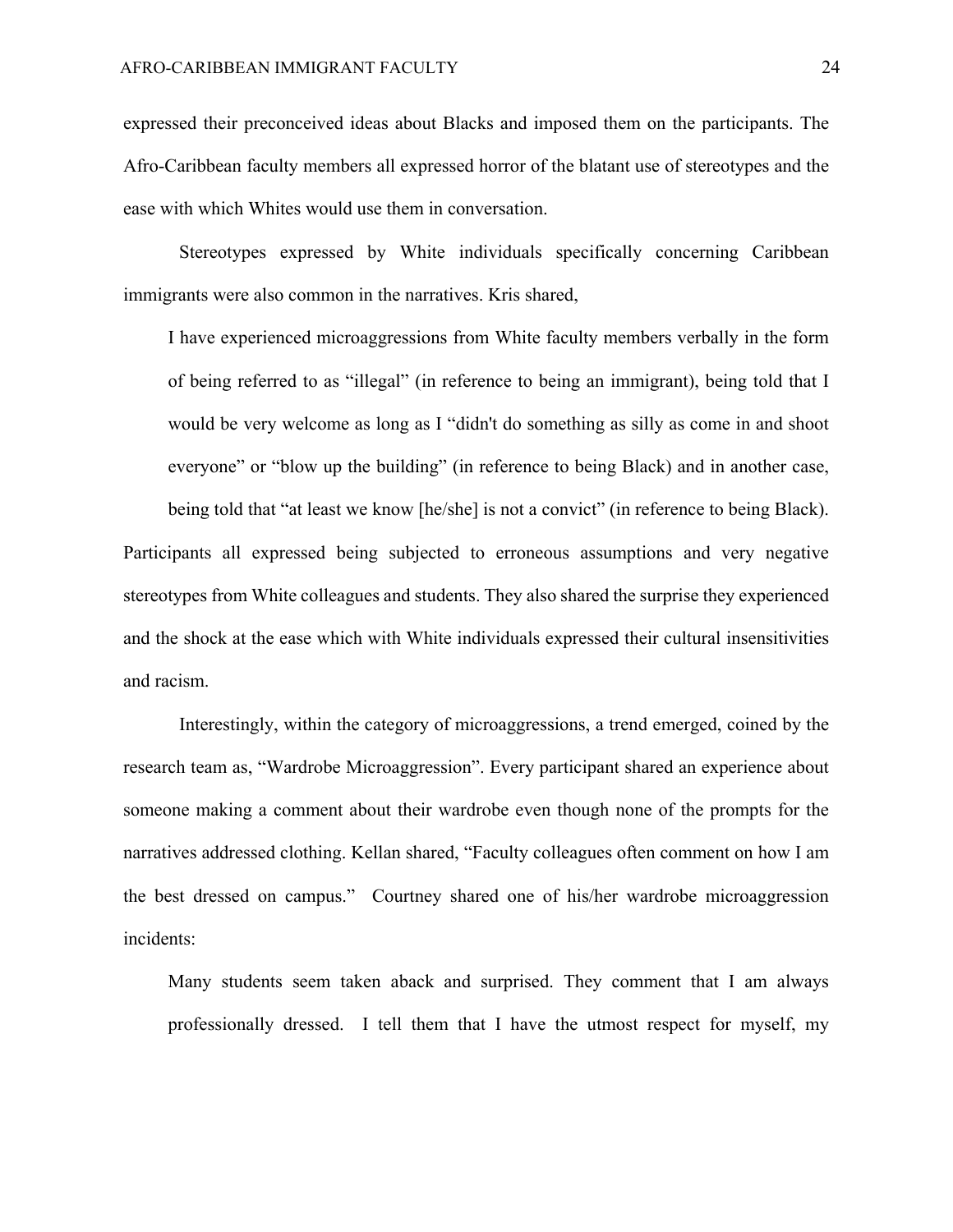expressed their preconceived ideas about Blacks and imposed them on the participants. The Afro-Caribbean faculty members all expressed horror of the blatant use of stereotypes and the ease with which Whites would use them in conversation.

Stereotypes expressed by White individuals specifically concerning Caribbean immigrants were also common in the narratives. Kris shared,

I have experienced microaggressions from White faculty members verbally in the form of being referred to as "illegal" (in reference to being an immigrant), being told that I would be very welcome as long as I "didn't do something as silly as come in and shoot everyone" or "blow up the building" (in reference to being Black) and in another case,

being told that "at least we know [he/she] is not a convict" (in reference to being Black). Participants all expressed being subjected to erroneous assumptions and very negative stereotypes from White colleagues and students. They also shared the surprise they experienced and the shock at the ease which with White individuals expressed their cultural insensitivities and racism.

Interestingly, within the category of microaggressions, a trend emerged, coined by the research team as, "Wardrobe Microaggression". Every participant shared an experience about someone making a comment about their wardrobe even though none of the prompts for the narratives addressed clothing. Kellan shared, "Faculty colleagues often comment on how I am the best dressed on campus." Courtney shared one of his/her wardrobe microaggression incidents:

Many students seem taken aback and surprised. They comment that I am always professionally dressed. I tell them that I have the utmost respect for myself, my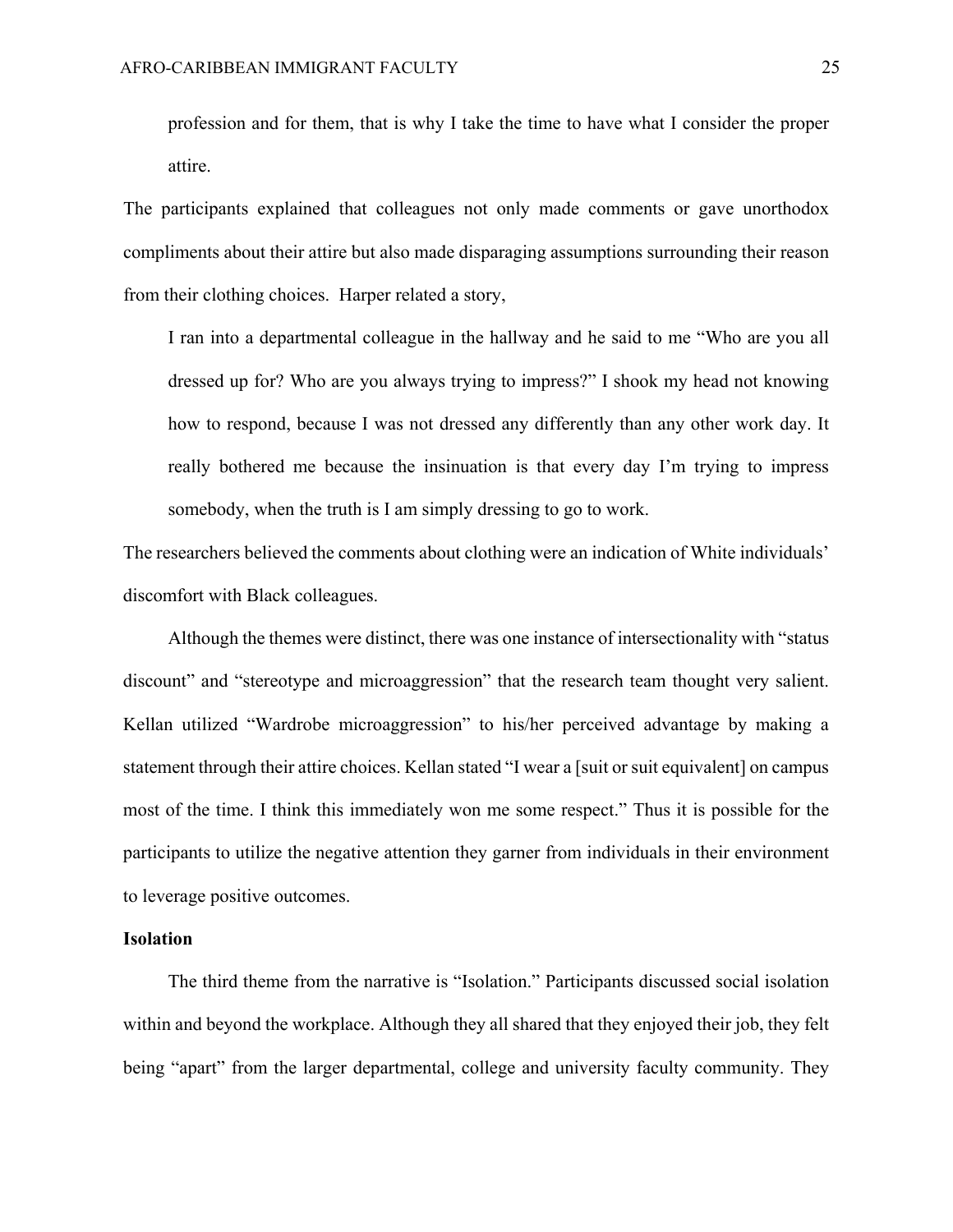profession and for them, that is why I take the time to have what I consider the proper attire.

The participants explained that colleagues not only made comments or gave unorthodox compliments about their attire but also made disparaging assumptions surrounding their reason from their clothing choices. Harper related a story,

I ran into a departmental colleague in the hallway and he said to me "Who are you all dressed up for? Who are you always trying to impress?" I shook my head not knowing how to respond, because I was not dressed any differently than any other work day. It really bothered me because the insinuation is that every day I'm trying to impress somebody, when the truth is I am simply dressing to go to work.

The researchers believed the comments about clothing were an indication of White individuals' discomfort with Black colleagues.

Although the themes were distinct, there was one instance of intersectionality with "status discount" and "stereotype and microaggression" that the research team thought very salient. Kellan utilized "Wardrobe microaggression" to his/her perceived advantage by making a statement through their attire choices. Kellan stated "I wear a [suit or suit equivalent] on campus most of the time. I think this immediately won me some respect." Thus it is possible for the participants to utilize the negative attention they garner from individuals in their environment to leverage positive outcomes.

## **Isolation**

 The third theme from the narrative is "Isolation." Participants discussed social isolation within and beyond the workplace. Although they all shared that they enjoyed their job, they felt being "apart" from the larger departmental, college and university faculty community. They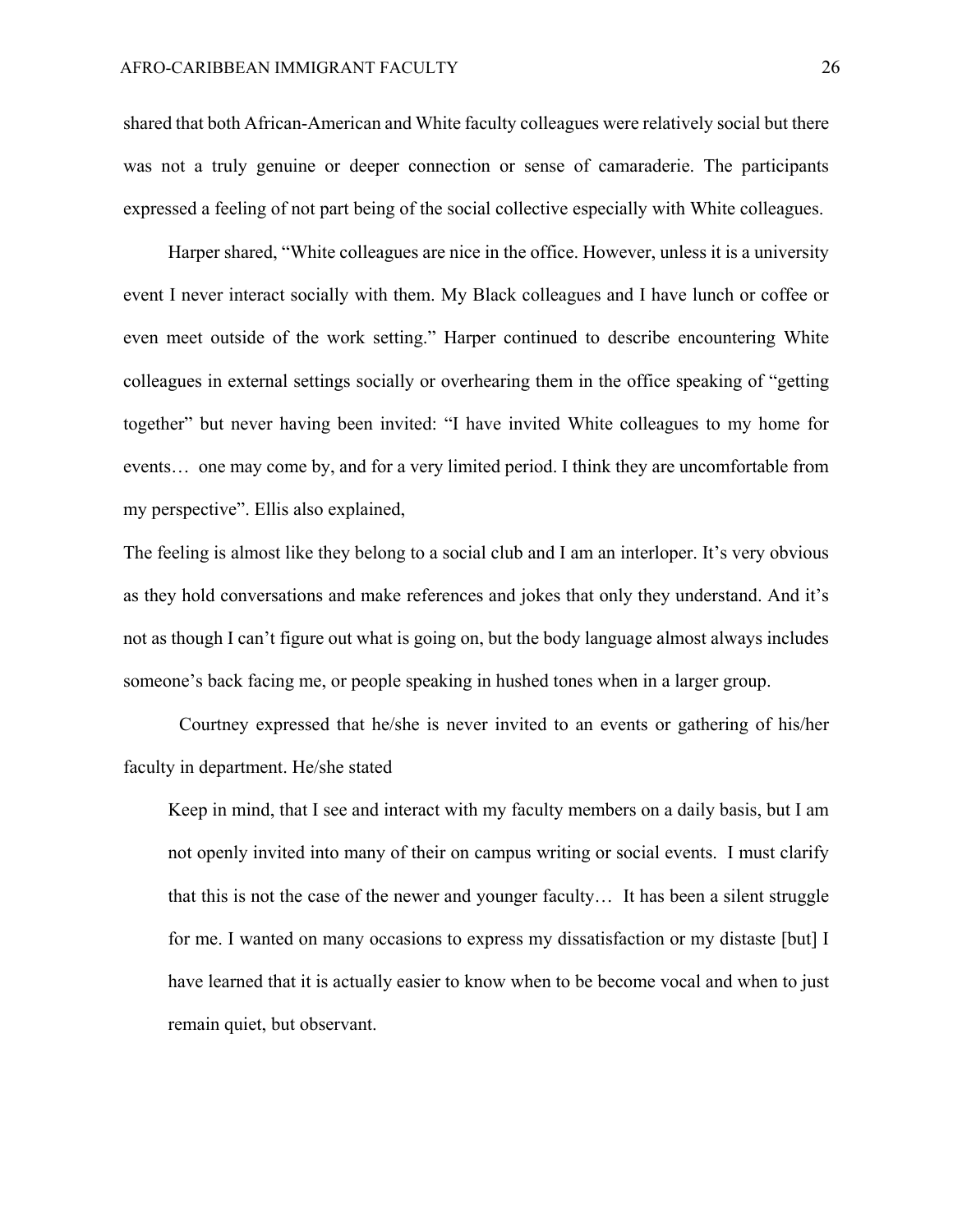shared that both African-American and White faculty colleagues were relatively social but there was not a truly genuine or deeper connection or sense of camaraderie. The participants expressed a feeling of not part being of the social collective especially with White colleagues.

Harper shared, "White colleagues are nice in the office. However, unless it is a university event I never interact socially with them. My Black colleagues and I have lunch or coffee or even meet outside of the work setting." Harper continued to describe encountering White colleagues in external settings socially or overhearing them in the office speaking of "getting together" but never having been invited: "I have invited White colleagues to my home for events… one may come by, and for a very limited period. I think they are uncomfortable from my perspective". Ellis also explained,

The feeling is almost like they belong to a social club and I am an interloper. It's very obvious as they hold conversations and make references and jokes that only they understand. And it's not as though I can't figure out what is going on, but the body language almost always includes someone's back facing me, or people speaking in hushed tones when in a larger group.

Courtney expressed that he/she is never invited to an events or gathering of his/her faculty in department. He/she stated

Keep in mind, that I see and interact with my faculty members on a daily basis, but I am not openly invited into many of their on campus writing or social events. I must clarify that this is not the case of the newer and younger faculty… It has been a silent struggle for me. I wanted on many occasions to express my dissatisfaction or my distaste [but] I have learned that it is actually easier to know when to be become vocal and when to just remain quiet, but observant.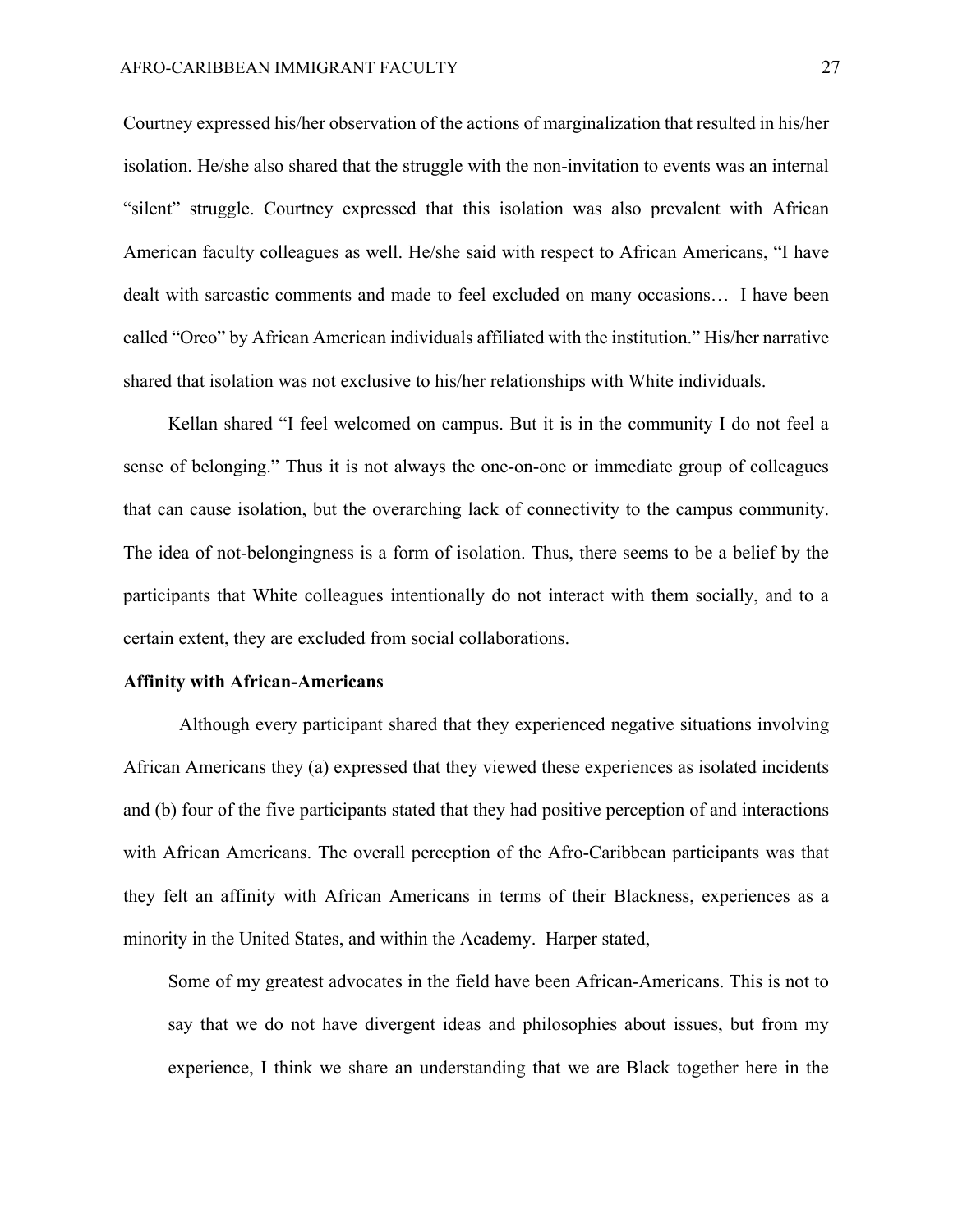Courtney expressed his/her observation of the actions of marginalization that resulted in his/her isolation. He/she also shared that the struggle with the non-invitation to events was an internal "silent" struggle. Courtney expressed that this isolation was also prevalent with African American faculty colleagues as well. He/she said with respect to African Americans, "I have dealt with sarcastic comments and made to feel excluded on many occasions… I have been called "Oreo" by African American individuals affiliated with the institution." His/her narrative shared that isolation was not exclusive to his/her relationships with White individuals.

 Kellan shared "I feel welcomed on campus. But it is in the community I do not feel a sense of belonging." Thus it is not always the one-on-one or immediate group of colleagues that can cause isolation, but the overarching lack of connectivity to the campus community. The idea of not-belongingness is a form of isolation. Thus, there seems to be a belief by the participants that White colleagues intentionally do not interact with them socially, and to a certain extent, they are excluded from social collaborations.

#### **Affinity with African-Americans**

Although every participant shared that they experienced negative situations involving African Americans they (a) expressed that they viewed these experiences as isolated incidents and (b) four of the five participants stated that they had positive perception of and interactions with African Americans. The overall perception of the Afro-Caribbean participants was that they felt an affinity with African Americans in terms of their Blackness, experiences as a minority in the United States, and within the Academy. Harper stated,

Some of my greatest advocates in the field have been African-Americans. This is not to say that we do not have divergent ideas and philosophies about issues, but from my experience, I think we share an understanding that we are Black together here in the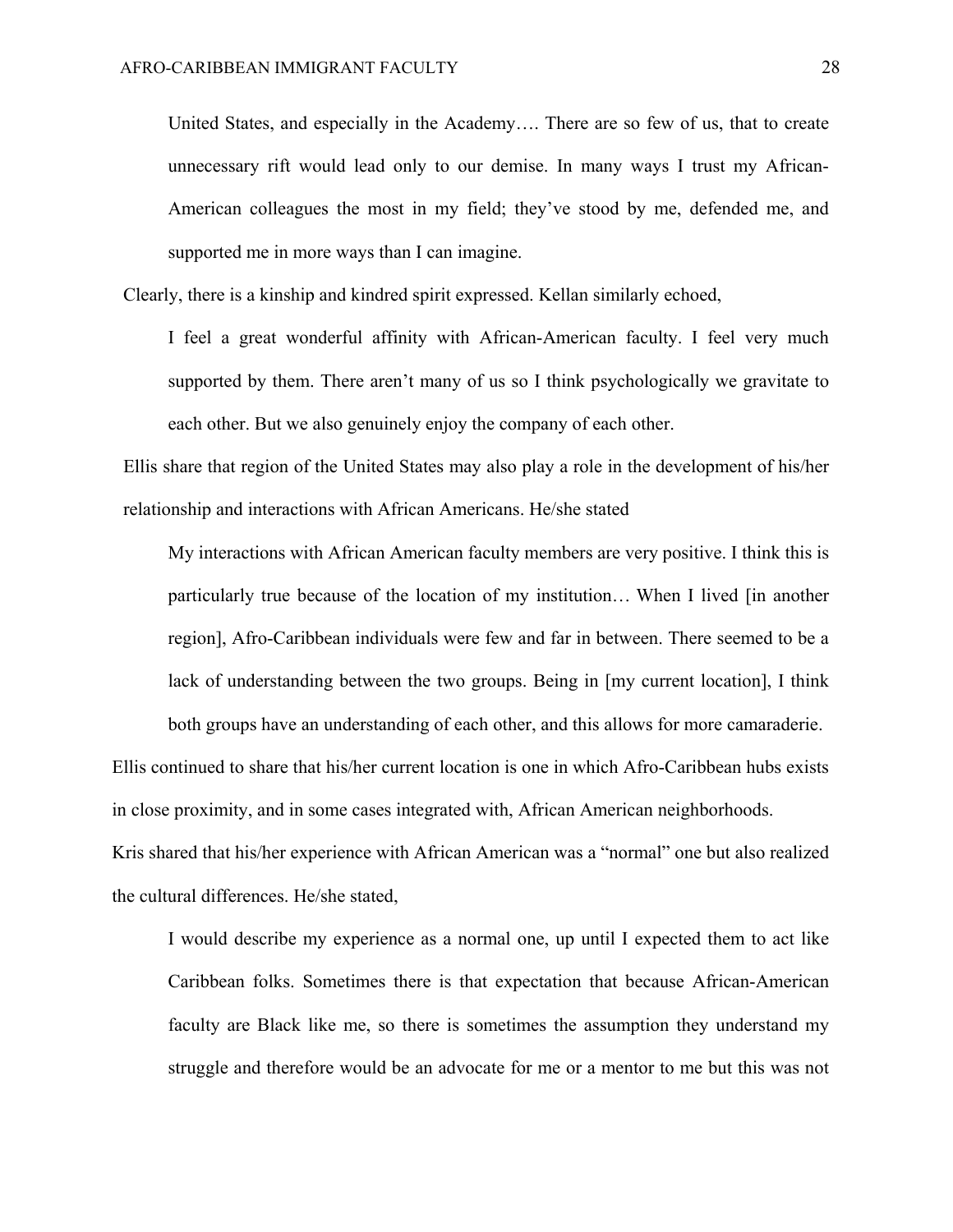United States, and especially in the Academy…. There are so few of us, that to create unnecessary rift would lead only to our demise. In many ways I trust my African-American colleagues the most in my field; they've stood by me, defended me, and supported me in more ways than I can imagine.

Clearly, there is a kinship and kindred spirit expressed. Kellan similarly echoed,

I feel a great wonderful affinity with African-American faculty. I feel very much supported by them. There aren't many of us so I think psychologically we gravitate to each other. But we also genuinely enjoy the company of each other.

Ellis share that region of the United States may also play a role in the development of his/her relationship and interactions with African Americans. He/she stated

My interactions with African American faculty members are very positive. I think this is particularly true because of the location of my institution… When I lived [in another region], Afro-Caribbean individuals were few and far in between. There seemed to be a lack of understanding between the two groups. Being in [my current location], I think both groups have an understanding of each other, and this allows for more camaraderie.

Ellis continued to share that his/her current location is one in which Afro-Caribbean hubs exists in close proximity, and in some cases integrated with, African American neighborhoods. Kris shared that his/her experience with African American was a "normal" one but also realized the cultural differences. He/she stated,

I would describe my experience as a normal one, up until I expected them to act like Caribbean folks. Sometimes there is that expectation that because African-American faculty are Black like me, so there is sometimes the assumption they understand my struggle and therefore would be an advocate for me or a mentor to me but this was not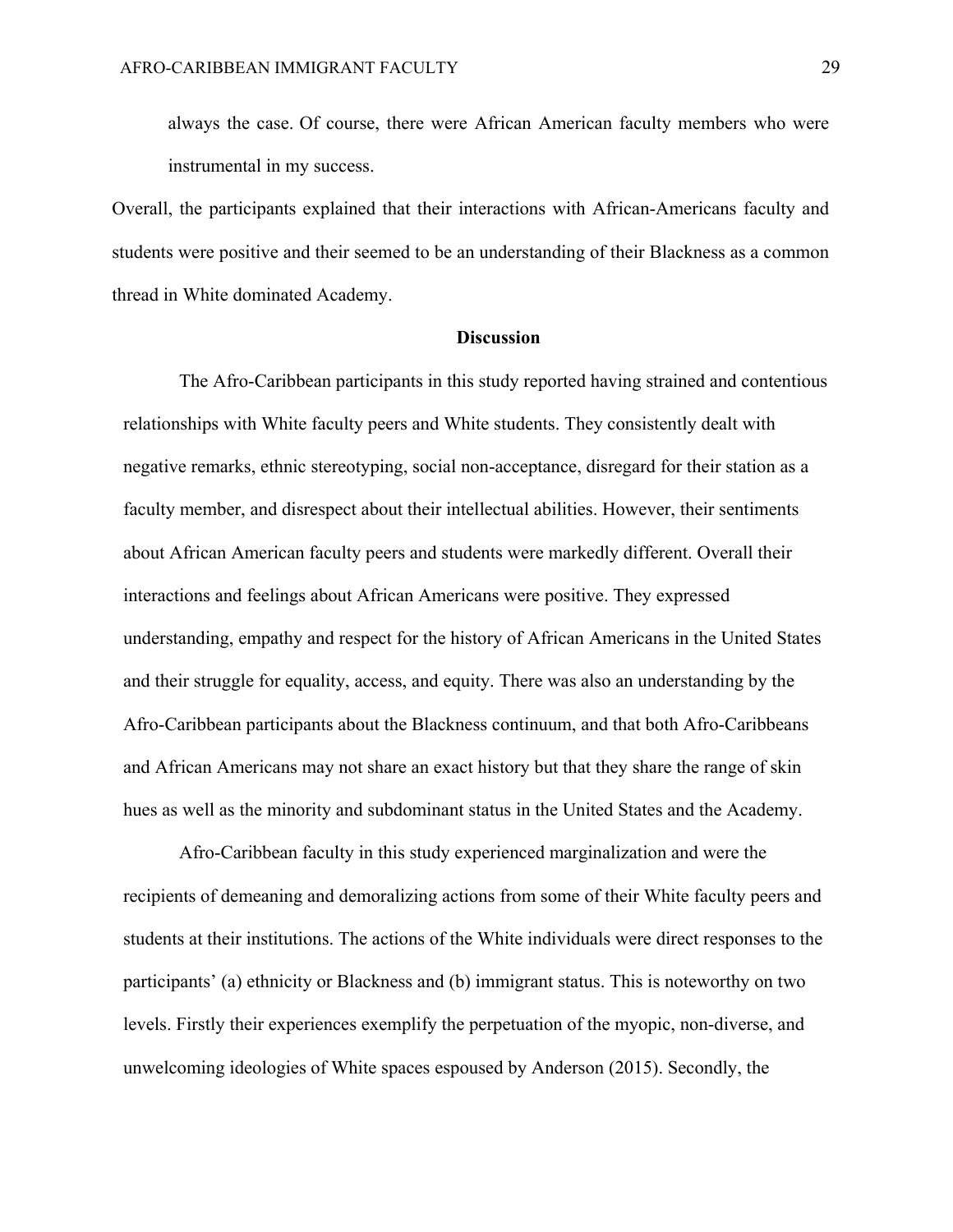always the case. Of course, there were African American faculty members who were instrumental in my success.

Overall, the participants explained that their interactions with African-Americans faculty and students were positive and their seemed to be an understanding of their Blackness as a common thread in White dominated Academy.

## **Discussion**

The Afro-Caribbean participants in this study reported having strained and contentious relationships with White faculty peers and White students. They consistently dealt with negative remarks, ethnic stereotyping, social non-acceptance, disregard for their station as a faculty member, and disrespect about their intellectual abilities. However, their sentiments about African American faculty peers and students were markedly different. Overall their interactions and feelings about African Americans were positive. They expressed understanding, empathy and respect for the history of African Americans in the United States and their struggle for equality, access, and equity. There was also an understanding by the Afro-Caribbean participants about the Blackness continuum, and that both Afro-Caribbeans and African Americans may not share an exact history but that they share the range of skin hues as well as the minority and subdominant status in the United States and the Academy.

Afro-Caribbean faculty in this study experienced marginalization and were the recipients of demeaning and demoralizing actions from some of their White faculty peers and students at their institutions. The actions of the White individuals were direct responses to the participants' (a) ethnicity or Blackness and (b) immigrant status. This is noteworthy on two levels. Firstly their experiences exemplify the perpetuation of the myopic, non-diverse, and unwelcoming ideologies of White spaces espoused by Anderson (2015). Secondly, the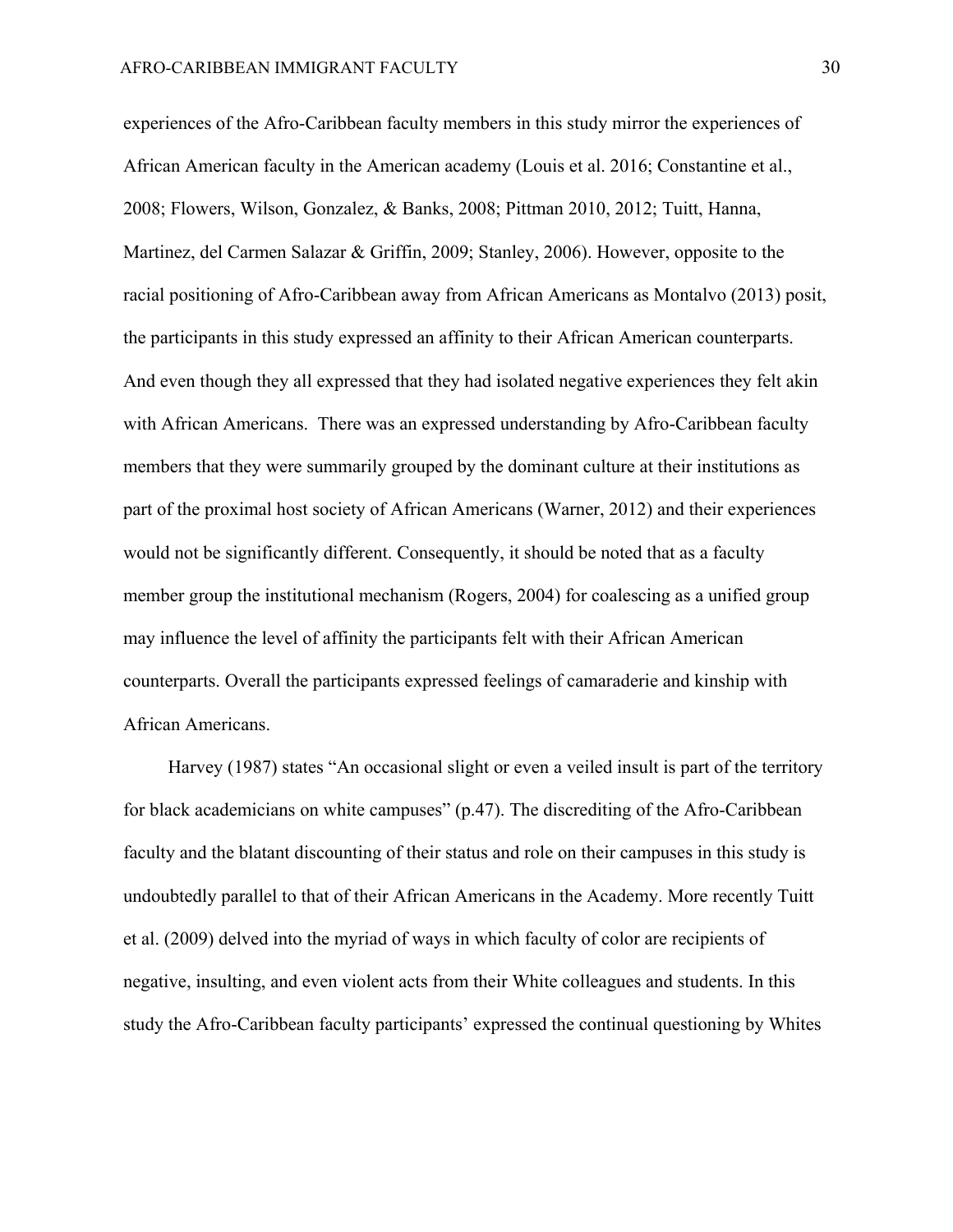experiences of the Afro-Caribbean faculty members in this study mirror the experiences of African American faculty in the American academy (Louis et al. 2016; Constantine et al., 2008; Flowers, Wilson, Gonzalez, & Banks, 2008; Pittman 2010, 2012; Tuitt, Hanna, Martinez, del Carmen Salazar & Griffin, 2009; Stanley, 2006). However, opposite to the racial positioning of Afro-Caribbean away from African Americans as Montalvo (2013) posit, the participants in this study expressed an affinity to their African American counterparts. And even though they all expressed that they had isolated negative experiences they felt akin with African Americans. There was an expressed understanding by Afro-Caribbean faculty members that they were summarily grouped by the dominant culture at their institutions as part of the proximal host society of African Americans (Warner, 2012) and their experiences would not be significantly different. Consequently, it should be noted that as a faculty member group the institutional mechanism (Rogers, 2004) for coalescing as a unified group may influence the level of affinity the participants felt with their African American counterparts. Overall the participants expressed feelings of camaraderie and kinship with African Americans.

Harvey (1987) states "An occasional slight or even a veiled insult is part of the territory for black academicians on white campuses" (p.47). The discrediting of the Afro-Caribbean faculty and the blatant discounting of their status and role on their campuses in this study is undoubtedly parallel to that of their African Americans in the Academy. More recently Tuitt et al. (2009) delved into the myriad of ways in which faculty of color are recipients of negative, insulting, and even violent acts from their White colleagues and students. In this study the Afro-Caribbean faculty participants' expressed the continual questioning by Whites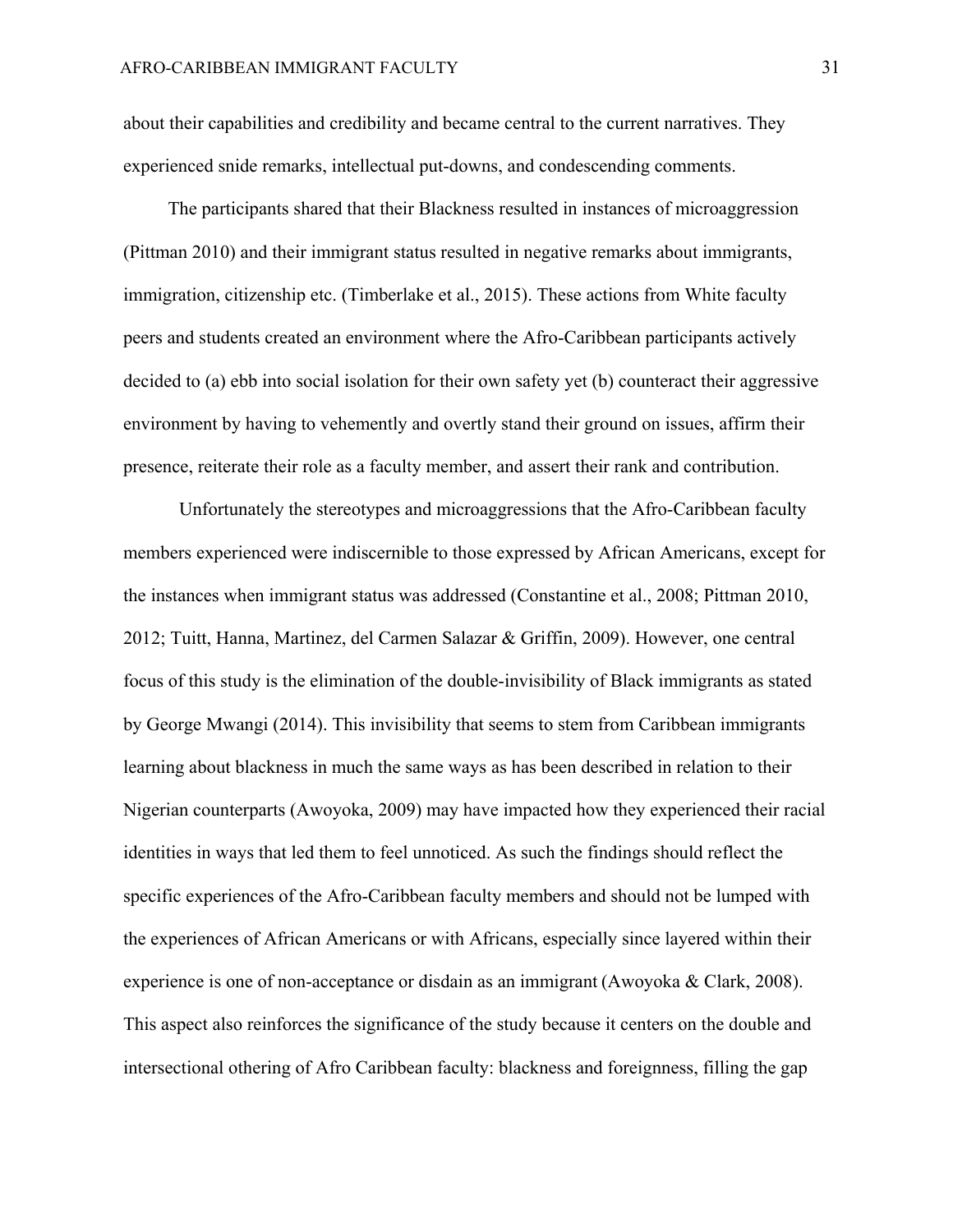about their capabilities and credibility and became central to the current narratives. They experienced snide remarks, intellectual put-downs, and condescending comments.

The participants shared that their Blackness resulted in instances of microaggression (Pittman 2010) and their immigrant status resulted in negative remarks about immigrants, immigration, citizenship etc. (Timberlake et al., 2015). These actions from White faculty peers and students created an environment where the Afro-Caribbean participants actively decided to (a) ebb into social isolation for their own safety yet (b) counteract their aggressive environment by having to vehemently and overtly stand their ground on issues, affirm their presence, reiterate their role as a faculty member, and assert their rank and contribution.

Unfortunately the stereotypes and microaggressions that the Afro-Caribbean faculty members experienced were indiscernible to those expressed by African Americans, except for the instances when immigrant status was addressed (Constantine et al., 2008; Pittman 2010, 2012; Tuitt, Hanna, Martinez, del Carmen Salazar & Griffin, 2009). However, one central focus of this study is the elimination of the double-invisibility of Black immigrants as stated by George Mwangi (2014). This invisibility that seems to stem from Caribbean immigrants learning about blackness in much the same ways as has been described in relation to their Nigerian counterparts (Awoyoka, 2009) may have impacted how they experienced their racial identities in ways that led them to feel unnoticed. As such the findings should reflect the specific experiences of the Afro-Caribbean faculty members and should not be lumped with the experiences of African Americans or with Africans, especially since layered within their experience is one of non-acceptance or disdain as an immigrant (Awoyoka & Clark, 2008). This aspect also reinforces the significance of the study because it centers on the double and intersectional othering of Afro Caribbean faculty: blackness and foreignness, filling the gap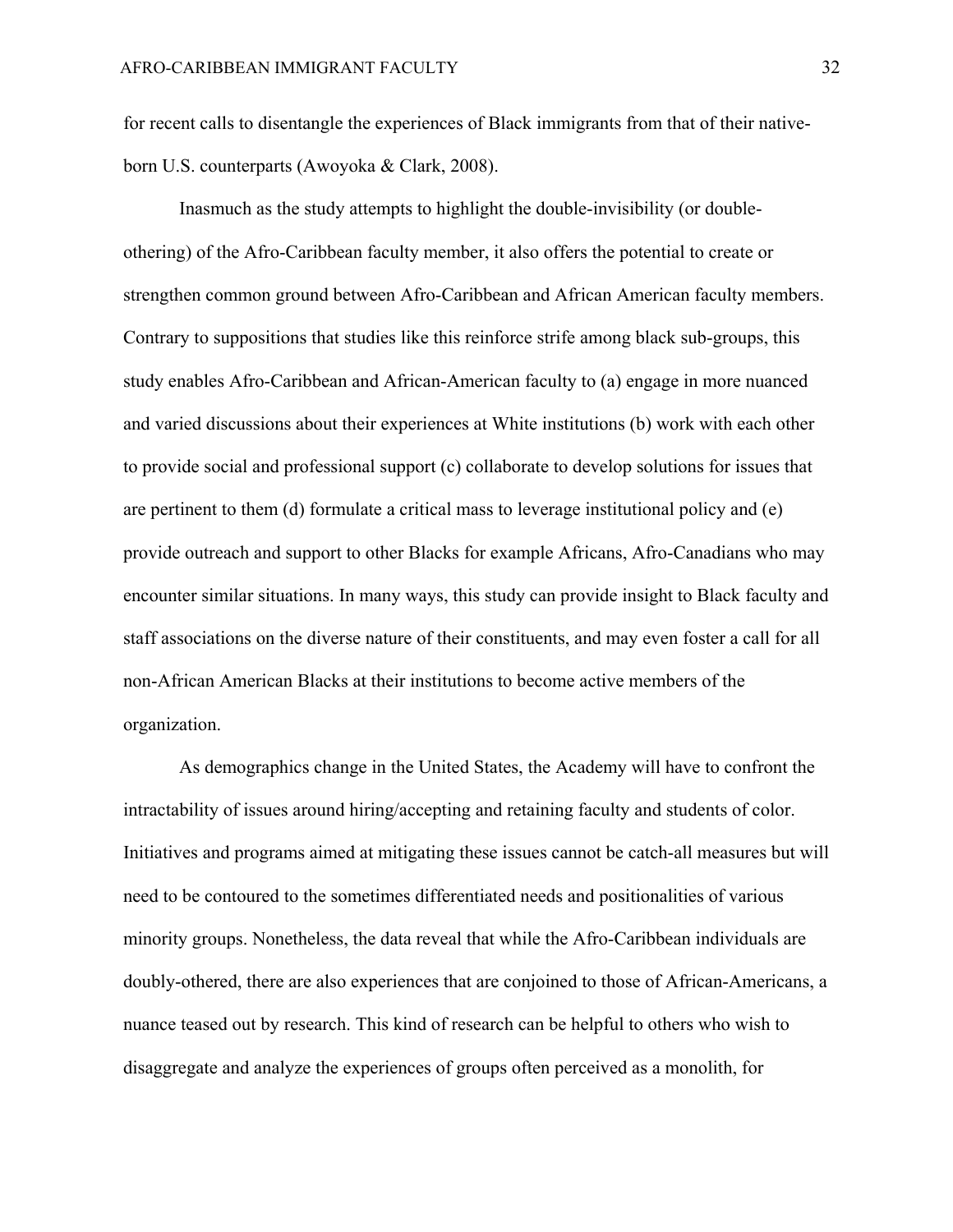for recent calls to disentangle the experiences of Black immigrants from that of their nativeborn U.S. counterparts (Awoyoka & Clark, 2008).

Inasmuch as the study attempts to highlight the double-invisibility (or doubleothering) of the Afro-Caribbean faculty member, it also offers the potential to create or strengthen common ground between Afro-Caribbean and African American faculty members. Contrary to suppositions that studies like this reinforce strife among black sub-groups, this study enables Afro-Caribbean and African-American faculty to (a) engage in more nuanced and varied discussions about their experiences at White institutions (b) work with each other to provide social and professional support (c) collaborate to develop solutions for issues that are pertinent to them (d) formulate a critical mass to leverage institutional policy and (e) provide outreach and support to other Blacks for example Africans, Afro-Canadians who may encounter similar situations. In many ways, this study can provide insight to Black faculty and staff associations on the diverse nature of their constituents, and may even foster a call for all non-African American Blacks at their institutions to become active members of the organization.

As demographics change in the United States, the Academy will have to confront the intractability of issues around hiring/accepting and retaining faculty and students of color. Initiatives and programs aimed at mitigating these issues cannot be catch-all measures but will need to be contoured to the sometimes differentiated needs and positionalities of various minority groups. Nonetheless, the data reveal that while the Afro-Caribbean individuals are doubly-othered, there are also experiences that are conjoined to those of African-Americans, a nuance teased out by research. This kind of research can be helpful to others who wish to disaggregate and analyze the experiences of groups often perceived as a monolith, for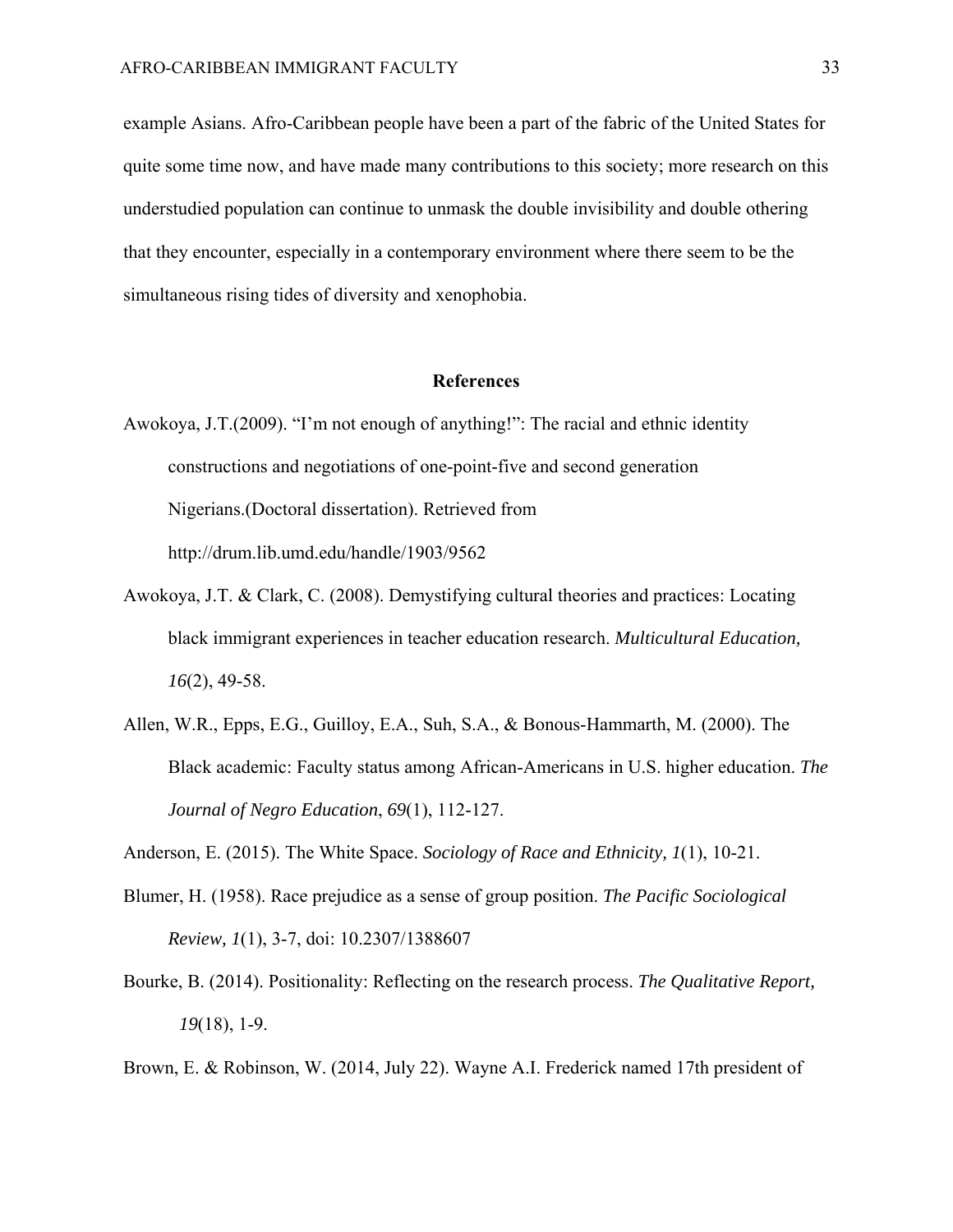example Asians. Afro-Caribbean people have been a part of the fabric of the United States for quite some time now, and have made many contributions to this society; more research on this understudied population can continue to unmask the double invisibility and double othering that they encounter, especially in a contemporary environment where there seem to be the simultaneous rising tides of diversity and xenophobia.

### **References**

- Awokoya, J.T.(2009). "I'm not enough of anything!": The racial and ethnic identity constructions and negotiations of one-point-five and second generation Nigerians.(Doctoral dissertation). Retrieved from http://drum.lib.umd.edu/handle/1903/9562
- Awokoya, J.T. & Clark, C. (2008). Demystifying cultural theories and practices: Locating black immigrant experiences in teacher education research. *Multicultural Education, 16*(2), 49-58.
- Allen, W.R., Epps, E.G., Guilloy, E.A., Suh, S.A., & Bonous-Hammarth, M. (2000). The Black academic: Faculty status among African-Americans in U.S. higher education. *The Journal of Negro Education*, *69*(1), 112-127.
- Anderson, E. (2015). The White Space. *Sociology of Race and Ethnicity, 1*(1), 10-21.
- Blumer, H. (1958). Race prejudice as a sense of group position. *The Pacific Sociological Review, 1*(1), 3-7, doi: 10.2307/1388607
- Bourke, B. (2014). Positionality: Reflecting on the research process. *The Qualitative Report, 19*(18), 1-9.

Brown, E. & Robinson, W. (2014, July 22). Wayne A.I. Frederick named 17th president of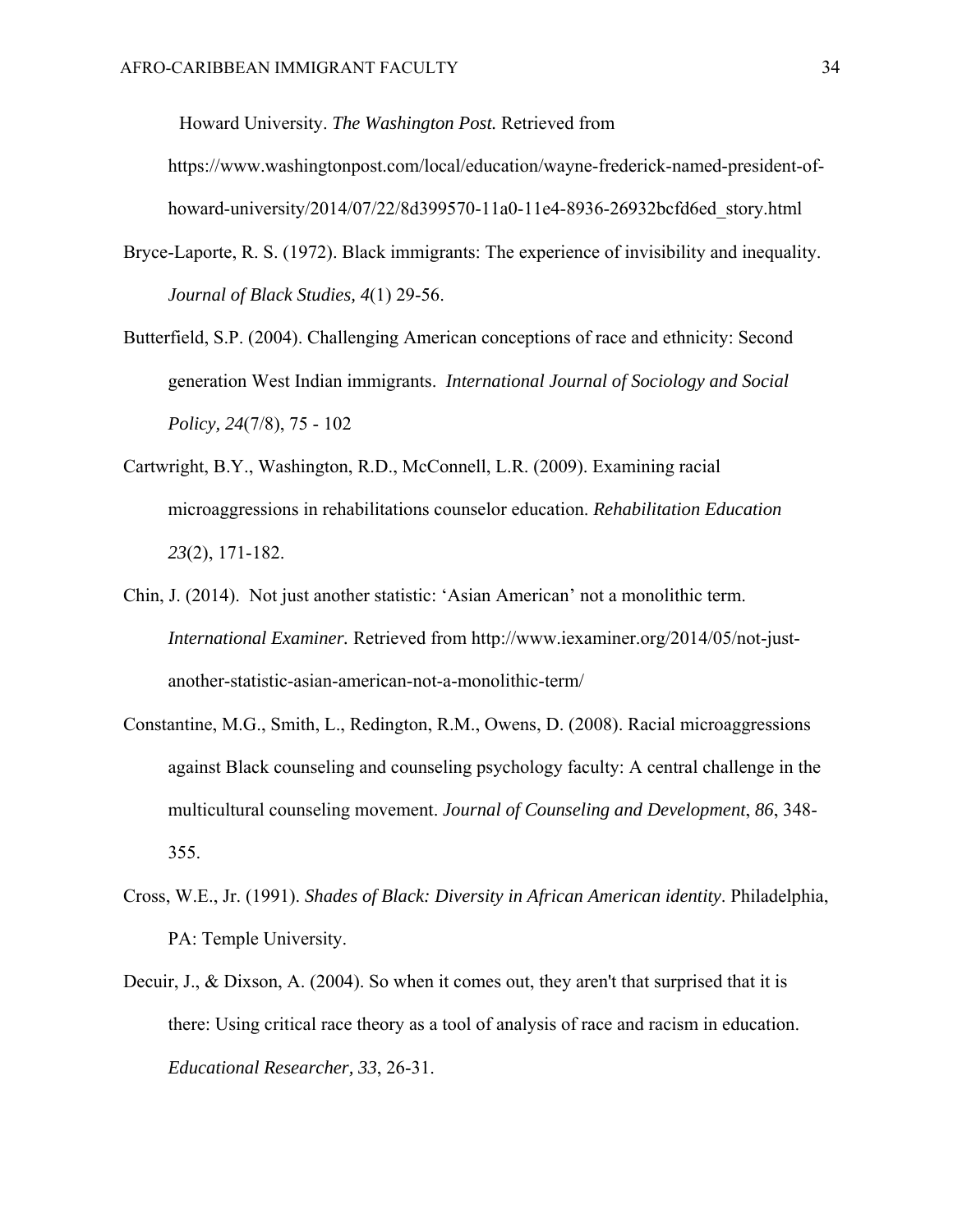Howard University. *The Washington Post.* Retrieved from https://www.washingtonpost.com/local/education/wayne-frederick-named-president-ofhoward-university/2014/07/22/8d399570-11a0-11e4-8936-26932bcfd6ed\_story.html

- Bryce-Laporte, R. S. (1972). Black immigrants: The experience of invisibility and inequality. *Journal of Black Studies, 4*(1) 29-56.
- Butterfield, S.P. (2004). Challenging American conceptions of race and ethnicity: Second generation West Indian immigrants. *International Journal of Sociology and Social Policy, 24*(7/8), 75 - 102
- Cartwright, B.Y., Washington, R.D., McConnell, L.R. (2009). Examining racial microaggressions in rehabilitations counselor education. *Rehabilitation Education 23*(2), 171-182.
- Chin, J. (2014). Not just another statistic: 'Asian American' not a monolithic term. *International Examiner.* Retrieved from http://www.iexaminer.org/2014/05/not-justanother-statistic-asian-american-not-a-monolithic-term/
- Constantine, M.G., Smith, L., Redington, R.M., Owens, D. (2008). Racial microaggressions against Black counseling and counseling psychology faculty: A central challenge in the multicultural counseling movement. *Journal of Counseling and Development*, *86*, 348- 355.
- Cross, W.E., Jr. (1991). *Shades of Black: Diversity in African American identity*. Philadelphia, PA: Temple University.
- Decuir, J., & Dixson, A. (2004). So when it comes out, they aren't that surprised that it is there: Using critical race theory as a tool of analysis of race and racism in education. *Educational Researcher, 33*, 26-31.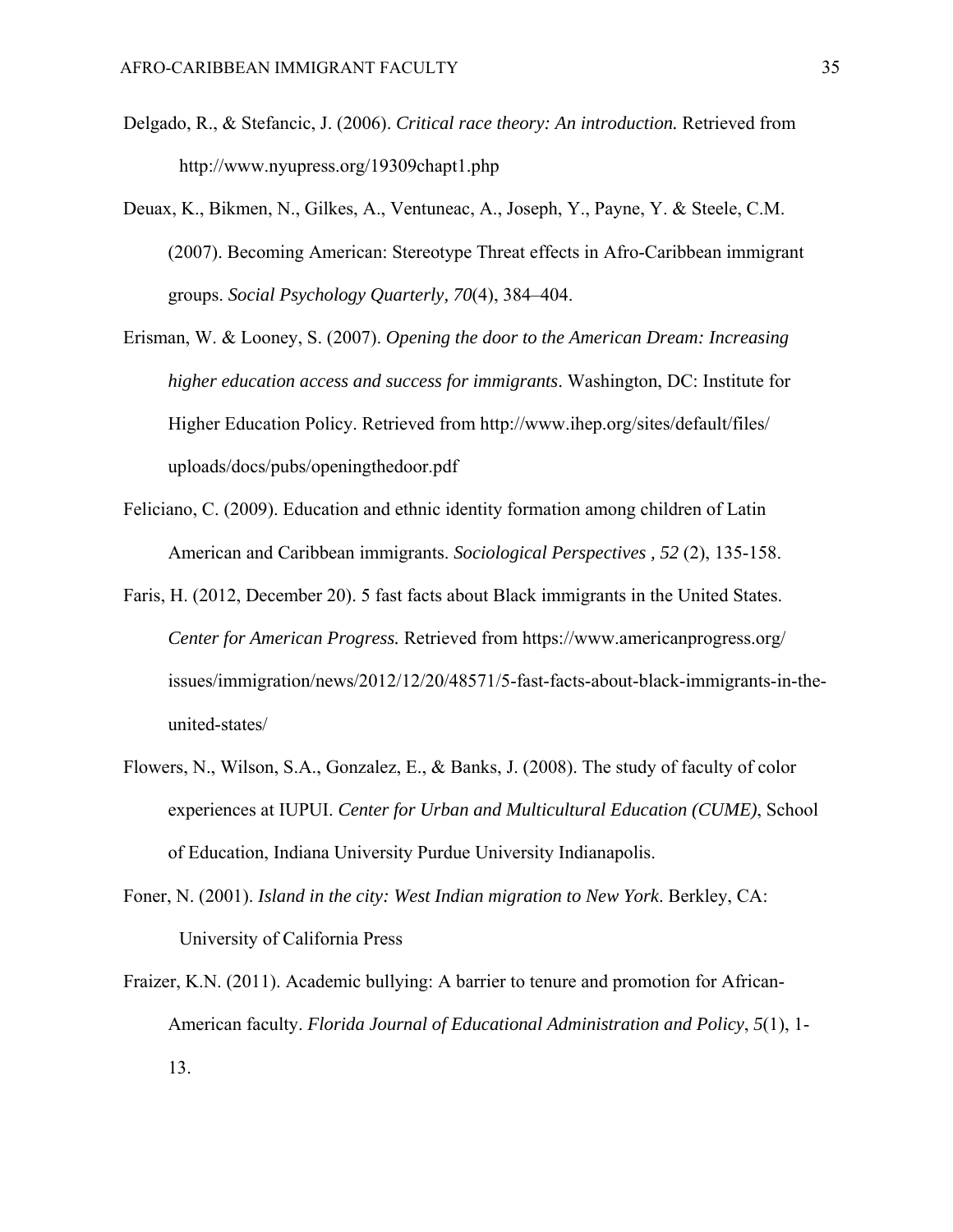- Delgado, R., & Stefancic, J. (2006). *Critical race theory: An introduction.* Retrieved from http://www.nyupress.org/19309chapt1.php
- Deuax, K., Bikmen, N., Gilkes, A., Ventuneac, A., Joseph, Y., Payne, Y. & Steele, C.M. (2007). Becoming American: Stereotype Threat effects in Afro-Caribbean immigrant groups. *Social Psychology Quarterly, 70*(4), 384–404.
- Erisman, W. & Looney, S. (2007). *Opening the door to the American Dream: Increasing higher education access and success for immigrants*. Washington, DC: Institute for Higher Education Policy. Retrieved from http://www.ihep.org/sites/default/files/ uploads/docs/pubs/openingthedoor.pdf
- Feliciano, C. (2009). Education and ethnic identity formation among children of Latin American and Caribbean immigrants. *Sociological Perspectives , 52* (2), 135-158.
- Faris, H. (2012, December 20). 5 fast facts about Black immigrants in the United States. *Center for American Progress.* Retrieved from https://www.americanprogress.org/ issues/immigration/news/2012/12/20/48571/5-fast-facts-about-black-immigrants-in-theunited-states/
- Flowers, N., Wilson, S.A., Gonzalez, E., & Banks, J. (2008). The study of faculty of color experiences at IUPUI. *Center for Urban and Multicultural Education (CUME)*, School of Education, Indiana University Purdue University Indianapolis.
- Foner, N. (2001). *Island in the city: West Indian migration to New York*. Berkley, CA: University of California Press
- Fraizer, K.N. (2011). Academic bullying: A barrier to tenure and promotion for African-American faculty. *Florida Journal of Educational Administration and Policy*, *5*(1), 1- 13.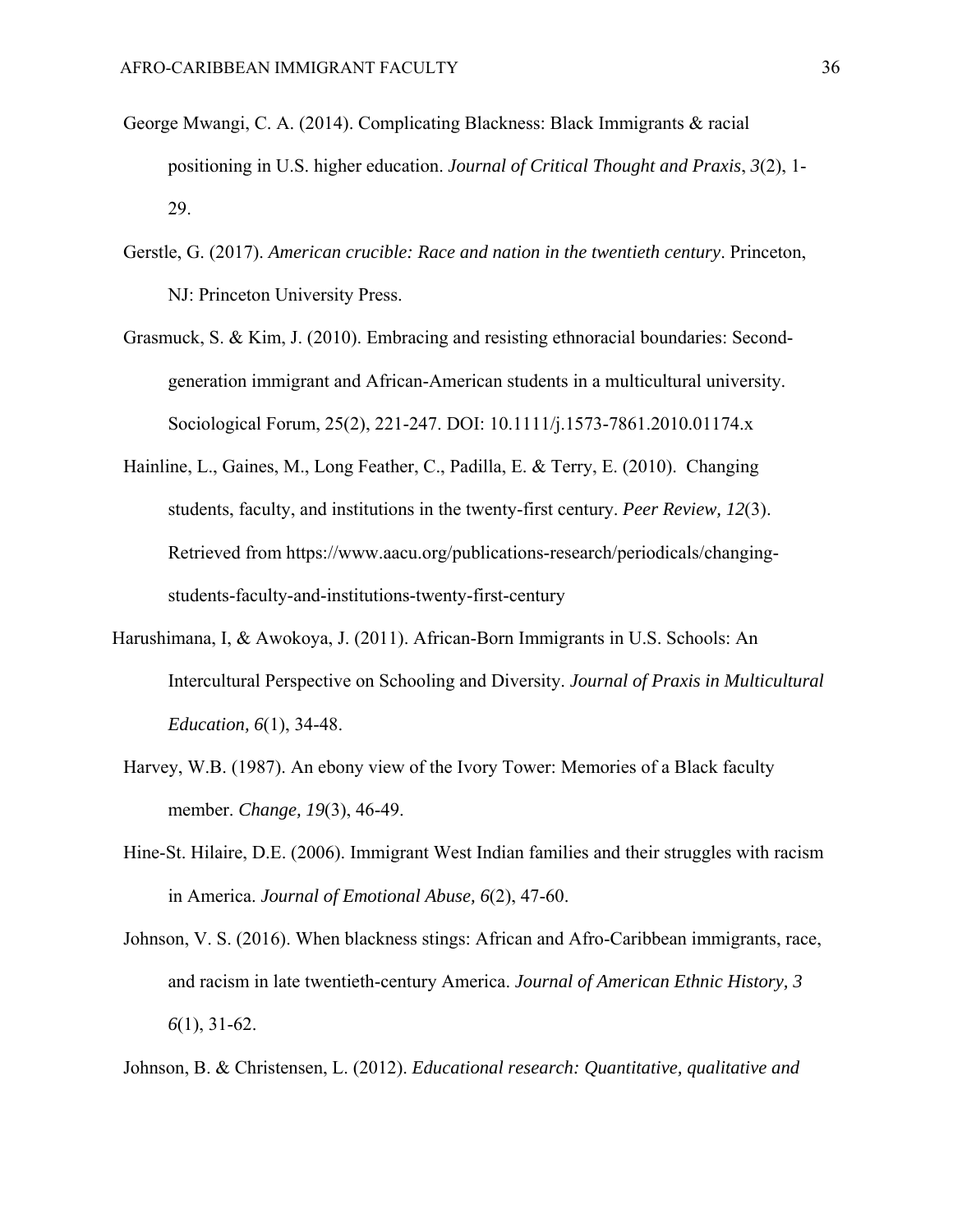- George Mwangi, C. A. (2014). Complicating Blackness: Black Immigrants & racial positioning in U.S. higher education. *Journal of Critical Thought and Praxis*, *3*(2), 1- 29.
- Gerstle, G. (2017). *American crucible: Race and nation in the twentieth century*. Princeton, NJ: Princeton University Press.
- Grasmuck, S. & Kim, J. (2010). Embracing and resisting ethnoracial boundaries: Secondgeneration immigrant and African-American students in a multicultural university. Sociological Forum, 25(2), 221-247. DOI: 10.1111/j.1573-7861.2010.01174.x
- Hainline, L., Gaines, M., Long Feather, C., Padilla, E. & Terry, E. (2010). Changing students, faculty, and institutions in the twenty-first century. *Peer Review, 12*(3). Retrieved from https://www.aacu.org/publications-research/periodicals/changingstudents-faculty-and-institutions-twenty-first-century
- Harushimana, I, & Awokoya, J. (2011). African-Born Immigrants in U.S. Schools: An Intercultural Perspective on Schooling and Diversity. *Journal of Praxis in Multicultural Education, 6*(1), 34-48.
	- Harvey, W.B. (1987). An ebony view of the Ivory Tower: Memories of a Black faculty member. *Change, 19*(3), 46-49.
	- Hine-St. Hilaire, D.E. (2006). Immigrant West Indian families and their struggles with racism in America. *Journal of Emotional Abuse, 6*(2), 47-60.
	- Johnson, V. S. (2016). When blackness stings: African and Afro-Caribbean immigrants, race, and racism in late twentieth-century America. *Journal of American Ethnic History, 3 6*(1), 31-62.
	- Johnson, B. & Christensen, L. (2012). *Educational research: Quantitative, qualitative and*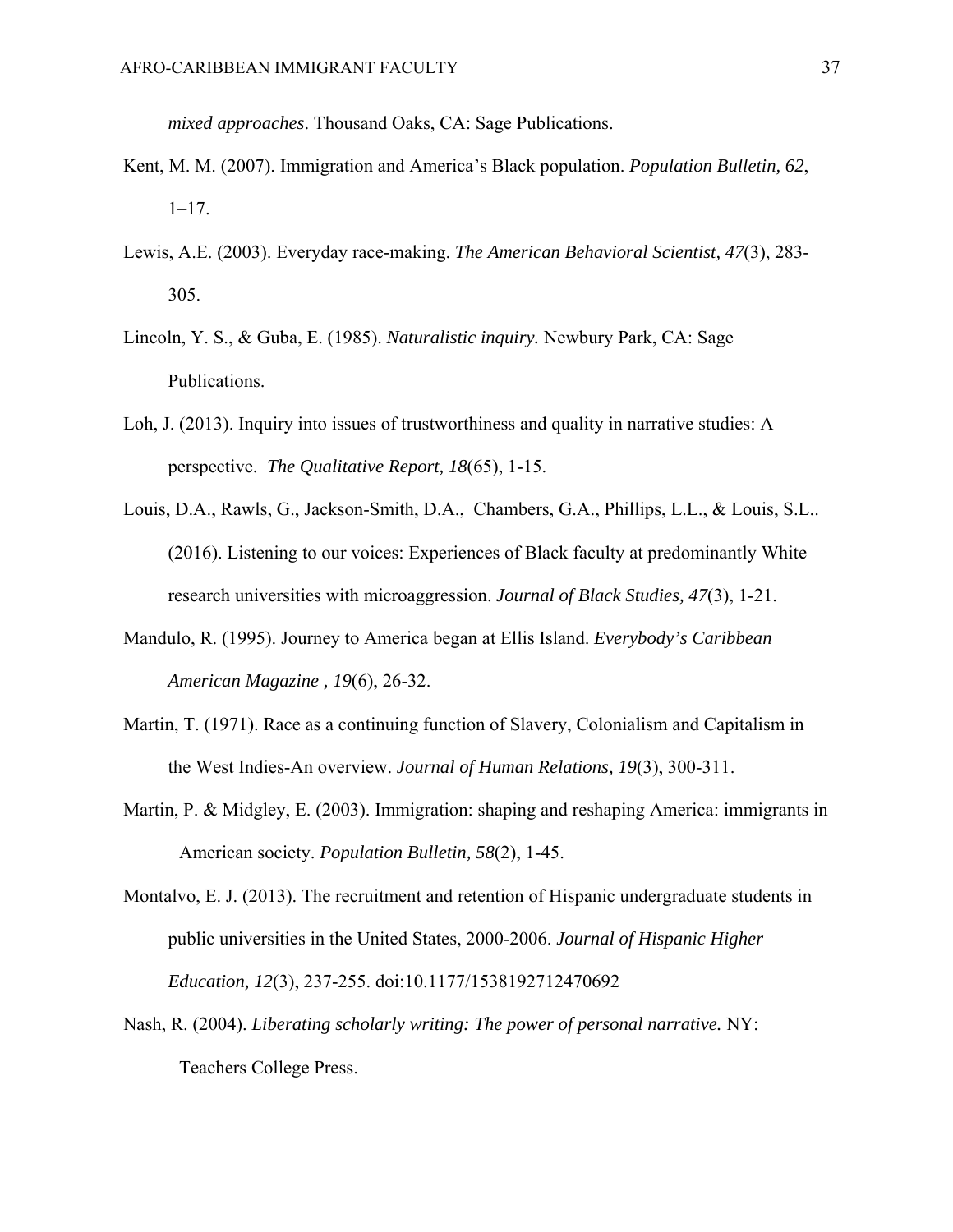*mixed approaches*. Thousand Oaks, CA: Sage Publications.

- Kent, M. M. (2007). Immigration and America's Black population. *Population Bulletin, 62*, 1–17.
- Lewis, A.E. (2003). Everyday race-making. *The American Behavioral Scientist, 47*(3), 283- 305.
- Lincoln, Y. S., & Guba, E. (1985). *Naturalistic inquiry.* Newbury Park, CA: Sage Publications.
- Loh, J. (2013). Inquiry into issues of trustworthiness and quality in narrative studies: A perspective. *The Qualitative Report, 18*(65), 1-15.
- Louis, D.A., Rawls, G., Jackson-Smith, D.A., Chambers, G.A., Phillips, L.L., & Louis, S.L.. (2016). Listening to our voices: Experiences of Black faculty at predominantly White research universities with microaggression. *Journal of Black Studies, 47*(3), 1-21.
- Mandulo, R. (1995). Journey to America began at Ellis Island. *Everybody's Caribbean American Magazine , 19*(6), 26-32.
- Martin, T. (1971). Race as a continuing function of Slavery, Colonialism and Capitalism in the West Indies-An overview. *Journal of Human Relations, 19*(3), 300-311.
- Martin, P. & Midgley, E. (2003). Immigration: shaping and reshaping America: immigrants in American society. *Population Bulletin, 58*(2), 1-45.
- Montalvo, E. J. (2013). The recruitment and retention of Hispanic undergraduate students in public universities in the United States, 2000-2006. *Journal of Hispanic Higher Education, 12*(3), 237-255. doi:10.1177/1538192712470692
- Nash, R. (2004). *Liberating scholarly writing: The power of personal narrative.* NY: Teachers College Press.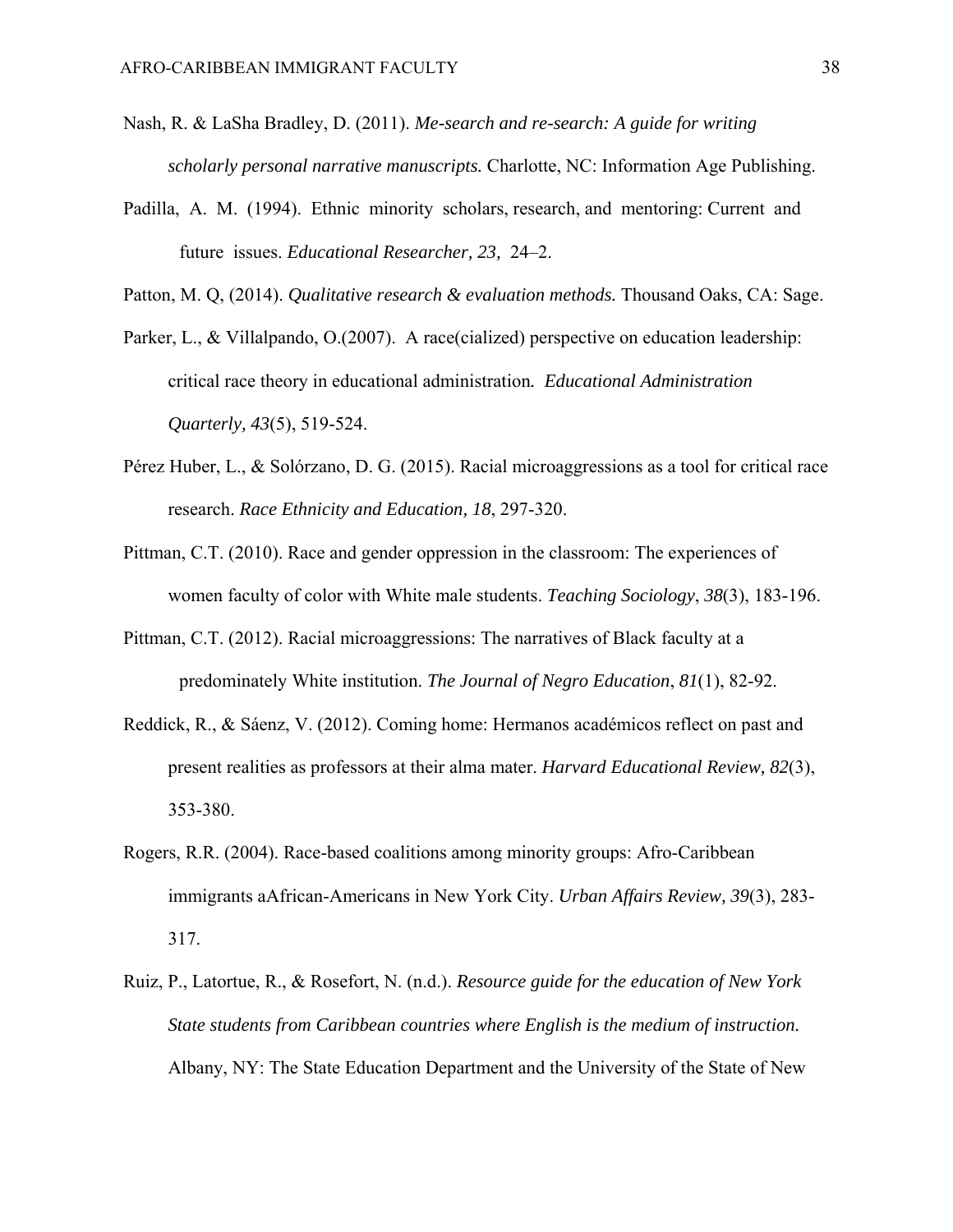- Nash, R. & LaSha Bradley, D. (2011). *Me-search and re-search: A guide for writing scholarly personal narrative manuscripts.* Charlotte, NC: Information Age Publishing.
- Padilla, A. M. (1994). Ethnic minority scholars, research, and mentoring: Current and future issues. *Educational Researcher, 23,* 24–2.

Patton, M. Q, (2014). *Qualitative research & evaluation methods.* Thousand Oaks, CA: Sage.

- Parker, L., & Villalpando, O.(2007). A race(cialized) perspective on education leadership: critical race theory in educational administration*. Educational Administration Quarterly, 43*(5), 519-524.
- Pérez Huber, L., & Solórzano, D. G. (2015). Racial microaggressions as a tool for critical race research. *Race Ethnicity and Education, 18*, 297-320.
- Pittman, C.T. (2010). Race and gender oppression in the classroom: The experiences of women faculty of color with White male students. *Teaching Sociology*, *38*(3), 183-196.
- Pittman, C.T. (2012). Racial microaggressions: The narratives of Black faculty at a predominately White institution. *The Journal of Negro Education*, *81*(1), 82-92.
- Reddick, R., & Sáenz, V. (2012). Coming home: Hermanos académicos reflect on past and present realities as professors at their alma mater. *Harvard Educational Review, 82*(3), 353-380.
- Rogers, R.R. (2004). Race-based coalitions among minority groups: Afro-Caribbean immigrants aAfrican-Americans in New York City. *Urban Affairs Review, 39*(3), 283- 317.
- Ruiz, P., Latortue, R., & Rosefort, N. (n.d.). *Resource guide for the education of New York State students from Caribbean countries where English is the medium of instruction.* Albany, NY: The State Education Department and the University of the State of New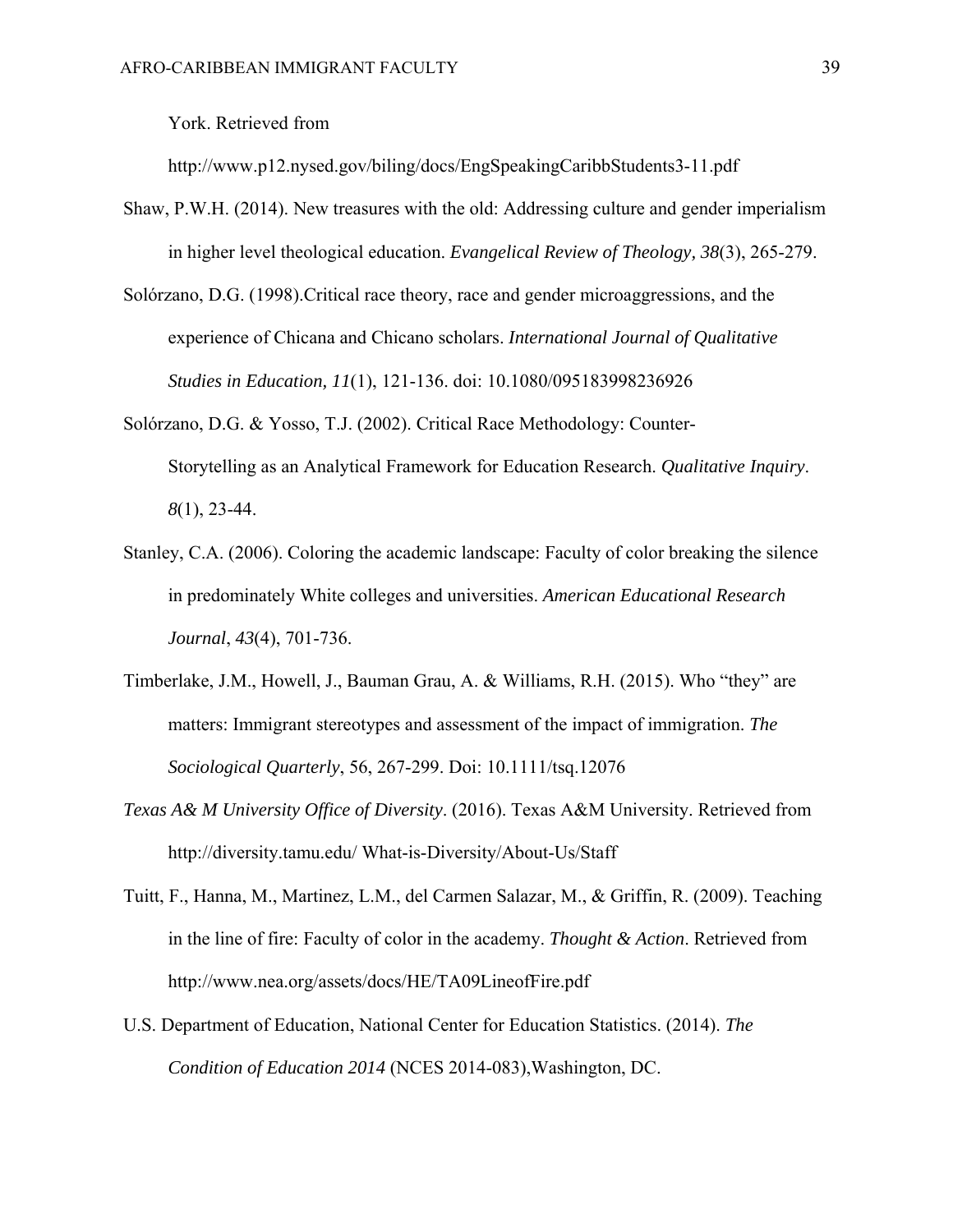York. Retrieved from

http://www.p12.nysed.gov/biling/docs/EngSpeakingCaribbStudents3-11.pdf

- Shaw, P.W.H. (2014). New treasures with the old: Addressing culture and gender imperialism in higher level theological education. *Evangelical Review of Theology, 38*(3), 265-279.
- Solórzano, D.G. (1998).Critical race theory, race and gender microaggressions, and the experience of Chicana and Chicano scholars. *International Journal of Qualitative Studies in Education, 11*(1), 121-136. doi: 10.1080/095183998236926
- Solórzano, D.G. & Yosso, T.J. (2002). Critical Race Methodology: Counter-Storytelling as an Analytical Framework for Education Research. *Qualitative Inquiry*. *8*(1), 23-44.
- Stanley, C.A. (2006). Coloring the academic landscape: Faculty of color breaking the silence in predominately White colleges and universities. *American Educational Research Journal*, *43*(4), 701-736.
- Timberlake, J.M., Howell, J., Bauman Grau, A. & Williams, R.H. (2015). Who "they" are matters: Immigrant stereotypes and assessment of the impact of immigration. *The Sociological Quarterly*, 56, 267-299. Doi: 10.1111/tsq.12076
- *Texas A& M University Office of Diversity*. (2016). Texas A&M University. Retrieved from http://diversity.tamu.edu/ What-is-Diversity/About-Us/Staff
- Tuitt, F., Hanna, M., Martinez, L.M., del Carmen Salazar, M., & Griffin, R. (2009). Teaching in the line of fire: Faculty of color in the academy. *Thought & Action*. Retrieved from http://www.nea.org/assets/docs/HE/TA09LineofFire.pdf
- U.S. Department of Education, National Center for Education Statistics. (2014). *The Condition of Education 2014* (NCES 2014-083),Washington, DC.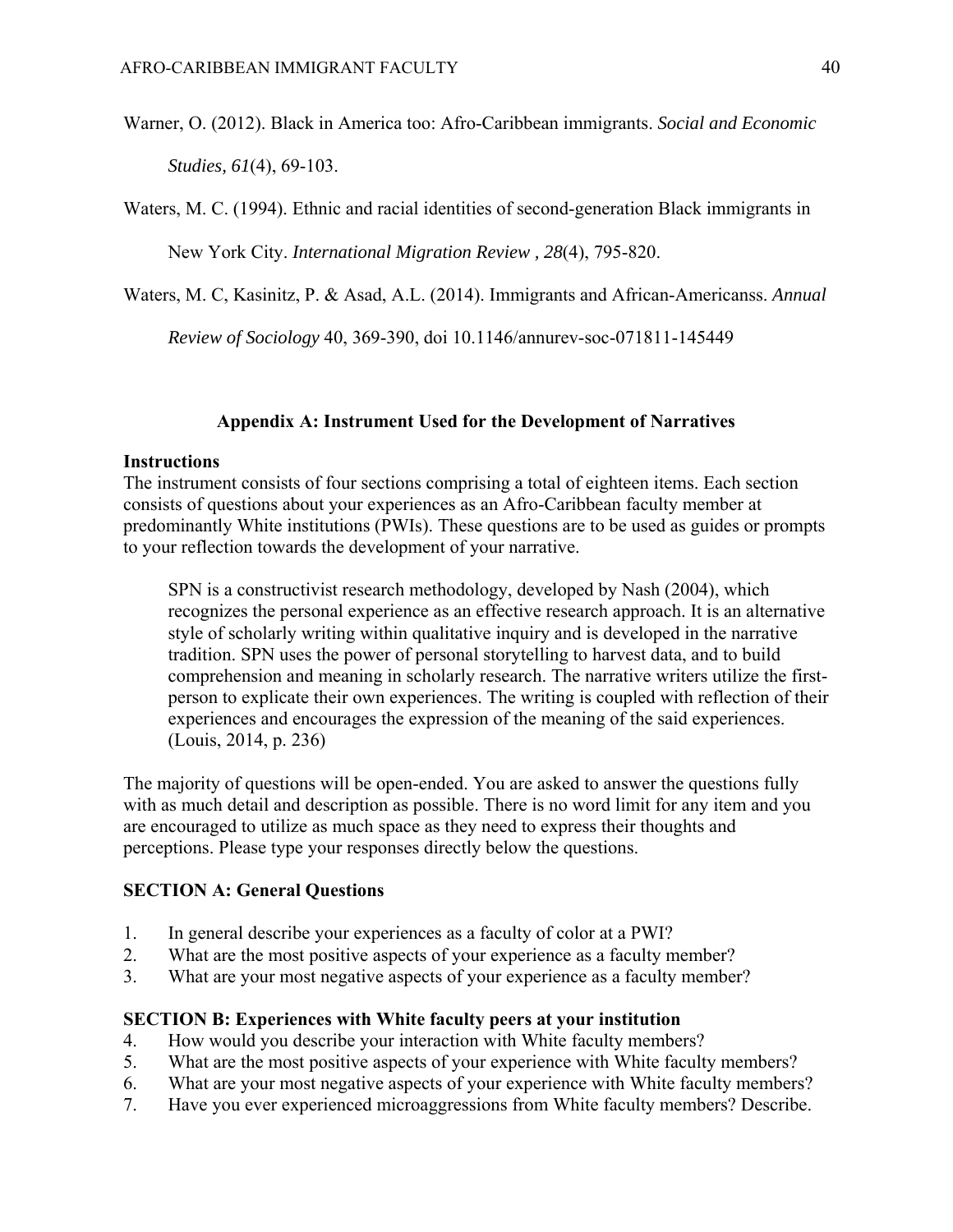Warner, O. (2012). Black in America too: Afro-Caribbean immigrants. *Social and Economic* 

*Studies, 61*(4), 69-103.

Waters, M. C. (1994). Ethnic and racial identities of second-generation Black immigrants in

New York City. *International Migration Review , 28*(4), 795-820.

Waters, M. C, Kasinitz, P. & Asad, A.L. (2014). Immigrants and African-Americanss. *Annual* 

*Review of Sociology* 40, 369-390, doi 10.1146/annurev-soc-071811-145449

### **Appendix A: Instrument Used for the Development of Narratives**

#### **Instructions**

The instrument consists of four sections comprising a total of eighteen items. Each section consists of questions about your experiences as an Afro-Caribbean faculty member at predominantly White institutions (PWIs). These questions are to be used as guides or prompts to your reflection towards the development of your narrative.

SPN is a constructivist research methodology, developed by Nash (2004), which recognizes the personal experience as an effective research approach. It is an alternative style of scholarly writing within qualitative inquiry and is developed in the narrative tradition. SPN uses the power of personal storytelling to harvest data, and to build comprehension and meaning in scholarly research. The narrative writers utilize the firstperson to explicate their own experiences. The writing is coupled with reflection of their experiences and encourages the expression of the meaning of the said experiences. (Louis, 2014, p. 236)

The majority of questions will be open-ended. You are asked to answer the questions fully with as much detail and description as possible. There is no word limit for any item and you are encouraged to utilize as much space as they need to express their thoughts and perceptions. Please type your responses directly below the questions.

#### **SECTION A: General Questions**

- 1. In general describe your experiences as a faculty of color at a PWI?
- 2. What are the most positive aspects of your experience as a faculty member?
- 3. What are your most negative aspects of your experience as a faculty member?

#### **SECTION B: Experiences with White faculty peers at your institution**

- 4. How would you describe your interaction with White faculty members?
- 5. What are the most positive aspects of your experience with White faculty members?
- 6. What are your most negative aspects of your experience with White faculty members?
- 7. Have you ever experienced microaggressions from White faculty members? Describe.